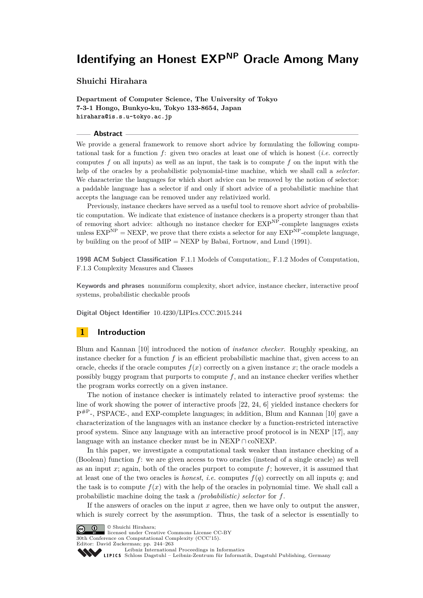# **Shuichi Hirahara**

**Department of Computer Science, The University of Tokyo 7-3-1 Hongo, Bunkyo-ku, Tokyo 133-8654, Japan hirahara@is.s.u-tokyo.ac.jp**

#### **Abstract**

We provide a general framework to remove short advice by formulating the following computational task for a function *f*: given two oracles at least one of which is honest (*i.e.* correctly computes *f* on all inputs) as well as an input, the task is to compute *f* on the input with the help of the oracles by a probabilistic polynomial-time machine, which we shall call a *selector*. We characterize the languages for which short advice can be removed by the notion of selector: a paddable language has a selector if and only if short advice of a probabilistic machine that accepts the language can be removed under any relativized world.

Previously, instance checkers have served as a useful tool to remove short advice of probabilistic computation. We indicate that existence of instance checkers is a property stronger than that of removing short advice: although no instance checker for  $EXP<sup>NP</sup>$ -complete languages exists unless  $EXP<sup>NP</sup> = NEXP$ , we prove that there exists a selector for any  $EXP<sup>NP</sup>$ -complete language, by building on the proof of MIP = NEXP by Babai, Fortnow, and Lund (1991).

**1998 ACM Subject Classification** F.1.1 Models of Computation;, F.1.2 Modes of Computation, F.1.3 Complexity Measures and Classes

**Keywords and phrases** nonuniform complexity, short advice, instance checker, interactive proof systems, probabilistic checkable proofs

**Digital Object Identifier** [10.4230/LIPIcs.CCC.2015.244](http://dx.doi.org/10.4230/LIPIcs.CCC.2015.244)

# **1 Introduction**

Blum and Kannan [\[10\]](#page-18-0) introduced the notion of *instance checker*. Roughly speaking, an instance checker for a function *f* is an efficient probabilistic machine that, given access to an oracle, checks if the oracle computes  $f(x)$  correctly on a given instance  $x$ ; the oracle models a possibly buggy program that purports to compute *f*, and an instance checker verifies whether the program works correctly on a given instance.

The notion of instance checker is intimately related to interactive proof systems: the line of work showing the power of interactive proofs [\[22,](#page-19-0) [24,](#page-19-1) [6\]](#page-18-1) yielded instance checkers for P<sup>#P</sup>-, PSPACE-, and EXP-complete languages; in addition, Blum and Kannan [\[10\]](#page-18-0) gave a characterization of the languages with an instance checker by a function-restricted interactive proof system. Since any language with an interactive proof protocol is in NEXP [\[17\]](#page-18-2), any language with an instance checker must be in NEXP ∩ coNEXP.

In this paper, we investigate a computational task weaker than instance checking of a (Boolean) function *f*: we are given access to two oracles (instead of a single oracle) as well as an input *x*; again, both of the oracles purport to compute *f*; however, it is assumed that at least one of the two oracles is *honest*, *i.e.* computes  $f(q)$  correctly on all inputs q; and the task is to compute  $f(x)$  with the help of the oracles in polynomial time. We shall call a probabilistic machine doing the task a *(probabilistic) selector* for *f*.

If the answers of oracles on the input *x* agree, then we have only to output the answer, which is surely correct by the assumption. Thus, the task of a selector is essentially to

© Shuichi Hirahara;

licensed under Creative Commons License CC-BY 30th Conference on Computational Complexity (CCC'15).

Editor: David Zuckerman; pp. 244[–263](#page-19-2)

[Leibniz International Proceedings in Informatics](http://www.dagstuhl.de/lipics/)

[Schloss Dagstuhl – Leibniz-Zentrum für Informatik, Dagstuhl Publishing, Germany](http://www.dagstuhl.de)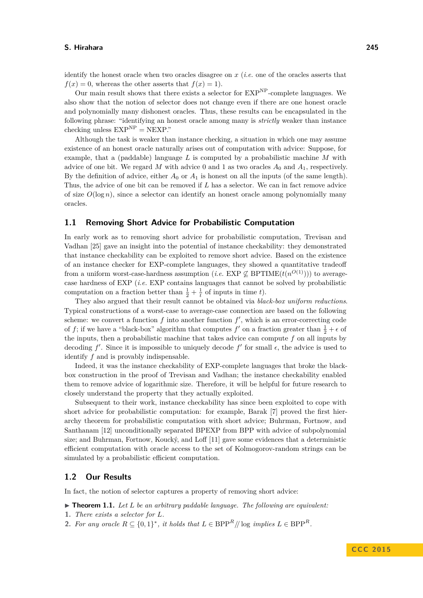identify the honest oracle when two oracles disagree on *x* (*i.e.* one of the oracles asserts that  $f(x) = 0$ , whereas the other asserts that  $f(x) = 1$ .

Our main result shows that there exists a selector for  $\text{EXP}^{\text{NP}}$ -complete languages. We also show that the notion of selector does not change even if there are one honest oracle and polynomially many dishonest oracles. Thus, these results can be encapsulated in the following phrase: "identifying an honest oracle among many is *strictly* weaker than instance checking unless  $EXP<sup>NP</sup> = NEXP$ .

Although the task is weaker than instance checking, a situation in which one may assume existence of an honest oracle naturally arises out of computation with advice: Suppose, for example, that a (paddable) language *L* is computed by a probabilistic machine *M* with advice of one bit. We regard M with advice 0 and 1 as two oracles  $A_0$  and  $A_1$ , respectively. By the definition of advice, either  $A_0$  or  $A_1$  is honest on all the inputs (of the same length). Thus, the advice of one bit can be removed if *L* has a selector. We can in fact remove advice of size  $O(\log n)$ , since a selector can identify an honest oracle among polynomially many oracles.

### **1.1 Removing Short Advice for Probabilistic Computation**

In early work as to removing short advice for probabilistic computation, Trevisan and Vadhan [\[25\]](#page-19-3) gave an insight into the potential of instance checkability: they demonstrated that instance checkability can be exploited to remove short advice. Based on the existence of an instance checker for EXP-complete languages, they showed a quantitative tradeoff from a uniform worst-case-hardness assumption (*i.e.* EXP  $\nsubseteq$  BPTIME $(t(n^{O(1)})))$  to averagecase hardness of EXP (*i.e.* EXP contains languages that cannot be solved by probabilistic computation on a fraction better than  $\frac{1}{2} + \frac{1}{t}$  of inputs in time *t*).

They also argued that their result cannot be obtained via *black-box uniform reductions*. Typical constructions of a worst-case to average-case connection are based on the following scheme: we convert a function  $f$  into another function  $f'$ , which is an error-correcting code of *f*; if we have a "black-box" algorithm that computes  $f'$  on a fraction greater than  $\frac{1}{2} + \epsilon$  of the inputs, then a probabilistic machine that takes advice can compute *f* on all inputs by decoding  $f'$ . Since it is impossible to uniquely decode  $f'$  for small  $\epsilon$ , the advice is used to identify *f* and is provably indispensable.

Indeed, it was the instance checkability of EXP-complete languages that broke the blackbox construction in the proof of Trevisan and Vadhan; the instance checkability enabled them to remove advice of logarithmic size. Therefore, it will be helpful for future research to closely understand the property that they actually exploited.

Subsequent to their work, instance checkability has since been exploited to cope with short advice for probabilistic computation: for example, Barak [\[7\]](#page-18-3) proved the first hierarchy theorem for probabilistic computation with short advice; Buhrman, Fortnow, and Santhanam [\[12\]](#page-18-4) unconditionally separated BPEXP from BPP with advice of subpolynomial size; and Buhrman, Fortnow, Koucký, and Loff [\[11\]](#page-18-5) gave some evidences that a deterministic efficient computation with oracle access to the set of Kolmogorov-random strings can be simulated by a probabilistic efficient computation.

# **1.2 Our Results**

In fact, the notion of selector captures a property of removing short advice:

<span id="page-1-0"></span> $\triangleright$  **Theorem 1.1.** Let L be an arbitrary paddable language. The following are equivalent:

- **1.** *There exists a selector for L.*
- **2.** For any oracle  $R \subseteq \{0,1\}^*$ , it holds that  $L \in \text{BPP}^R$ // log *implies*  $L \in \text{BPP}^R$ .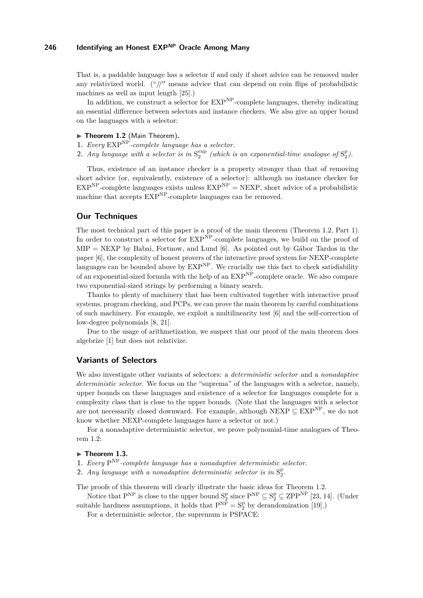That is, a paddable language has a selector if and only if short advice can be removed under any relativized world. ("//" means advice that can depend on coin flips of probabilistic machines as well as input length [\[25\]](#page-19-3).)

In addition, we construct a selector for  $\text{EXP}^{\text{NP}}$ -complete languages, thereby indicating an essential difference between selectors and instance checkers. We also give an upper bound on the languages with a selector:

# <span id="page-2-0"></span>▶ Theorem 1.2 (Main Theorem).

<span id="page-2-1"></span>**1.** *Every* EXPNP*-complete language has a selector.*

<span id="page-2-5"></span>**2.** *Any language with a selector is in*  $S_2^{exp}$  (which is an exponential-time analogue of  $S_2^p$ ).

Thus, existence of an instance checker is a property stronger than that of removing short advice (or, equivalently, existence of a selector): although no instance checker for  $EXP<sup>NP</sup>$ -complete languages exists unless  $EXP<sup>NP</sup>$  = NEXP, short advice of a probabilistic machine that accepts  $EXP<sup>NP</sup>$ -complete languages can be removed.

# **Our Techniques**

The most technical part of this paper is a proof of the main theorem (Theorem [1.2,](#page-2-0) Part [1\)](#page-2-1). In order to construct a selector for  $EXP^{\overrightarrow{NP}}$ -complete languages, we build on the proof of  $MIP = NEXP$  by Babai, Fortnow, and Lund [\[6\]](#page-18-1). As pointed out by Gábor Tardos in the paper [\[6\]](#page-18-1), the complexity of honest provers of the interactive proof system for NEXP-complete languages can be bounded above by  $EXP<sup>NP</sup>$ . We crucially use this fact to check satisfiability of an exponential-sized formula with the help of an EXPNP-complete oracle. We also compare two exponential-sized strings by performing a binary search.

Thanks to plenty of machinery that has been cultivated together with interactive proof systems, program checking, and PCPs, we can prove the main theorem by careful combinations of such machinery. For example, we exploit a multilinearity test [\[6\]](#page-18-1) and the self-correction of low-degree polynomials [\[8,](#page-18-6) [21\]](#page-19-4).

Due to the usage of arithmetization, we suspect that our proof of the main theorem does algebrize [\[1\]](#page-18-7) but does not relativize.

### **Variants of Selectors**

We also investigate other variants of selectors: a *deterministic selector* and a *nonadaptive deterministic selector*. We focus on the "suprema" of the languages with a selector, namely, upper bounds on these languages and existence of a selector for languages complete for a complexity class that is close to the upper bounds. (Note that the languages with a selector are not necessarily closed downward. For example, although NEXP  $\subseteq$  EXP<sup>NP</sup>, we do not know whether NEXP-complete languages have a selector or not.)

For a nonadaptive deterministic selector, we prove polynomial-time analogues of Theorem [1.2:](#page-2-0)

### <span id="page-2-2"></span>▶ Theorem 1.3.

- <span id="page-2-3"></span>**1.** *Every* P NP*-complete language has a nonadaptive deterministic selector.*
- <span id="page-2-4"></span>**2.** *Any language with a nonadaptive deterministic selector is in*  $S_2^p$ *.*

The proofs of this theorem will clearly illustrate the basic ideas for Theorem [1.2.](#page-2-0)

Notice that  $P^{NP}$  is close to the upper bound  $S_2^p$  since  $P^{NP} \subseteq S_2^p \subseteq ZPP^{NP}$  [\[23,](#page-19-5) [14\]](#page-18-8). (Under suitable hardness assumptions, it holds that  $P^{NP} = S_2^P$  by derandomization [\[19\]](#page-19-6).)

For a deterministic selector, the supremum is PSPACE: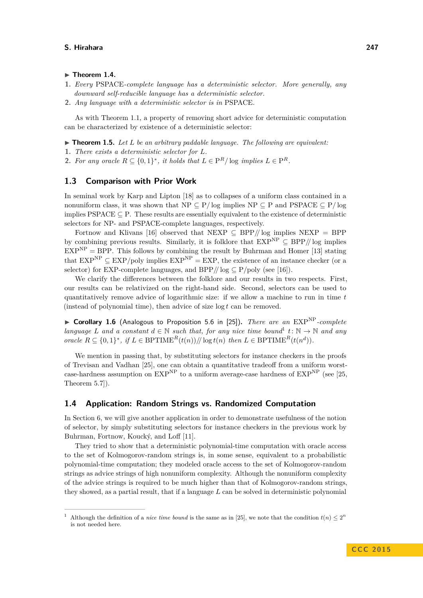#### <span id="page-3-3"></span> $\blacktriangleright$  Theorem 1.4.

- <span id="page-3-4"></span>**1.** *Every* PSPACE*-complete language has a deterministic selector. More generally, any downward self-reducible language has a deterministic selector.*
- <span id="page-3-5"></span>**2.** *Any language with a deterministic selector is in* PSPACE*.*

As with Theorem [1.1,](#page-1-0) a property of removing short advice for deterministic computation can be characterized by existence of a deterministic selector:

<span id="page-3-1"></span> $\triangleright$  **Theorem 1.5.** Let L be an arbitrary paddable language. The following are equivalent:

- **1.** *There exists a deterministic selector for L.*
- 2. For any oracle  $R \subseteq \{0,1\}^*$ , it holds that  $L \in \mathbb{P}^R$ / $\log$  *implies*  $L \in \mathbb{P}^R$ .

### **1.3 Comparison with Prior Work**

In seminal work by Karp and Lipton [\[18\]](#page-18-9) as to collapses of a uniform class contained in a nonuniform class, it was shown that  $NP \subseteq P/\log$  implies  $NP \subseteq P$  and  $PSPACE \subseteq P/\log$ implies PSPACE  $\subseteq$  P. These results are essentially equivalent to the existence of deterministic selectors for NP- and PSPACE-complete languages, respectively.

Fortnow and Klivans [\[16\]](#page-18-10) observed that NEXP ⊆ BPP*//* log implies NEXP = BPP by combining previous results. Similarly, it is folklore that  $EXP^{NP} \subseteq BPP//$  log implies  $EXP<sup>NP</sup> = BPP$ . This follows by combining the result by Buhrman and Homer [\[13\]](#page-18-11) stating that  $EXP<sup>NP</sup> \subset EXP/poly$  implies  $EXP<sup>NP</sup> = EXP$ , the existence of an instance checker (or a selector) for EXP-complete languages, and  $BPP/\ell$  log  $\subseteq P/\text{poly}$  (see [\[16\]](#page-18-10)).

We clarify the differences between the folklore and our results in two respects. First, our results can be relativized on the right-hand side. Second, selectors can be used to quantitatively remove advice of logarithmic size: if we allow a machine to run in time *t* (instead of polynomial time), then advice of size log *t* can be removed.

<span id="page-3-2"></span>▶ Corollary 1.6 (Analogous to Proposition 5.6 in [\[25\]](#page-19-3)). *There are an* EXP<sup>NP</sup>-complete *language L* and a constant  $d \in \mathbb{N}$  such that, for any nice time bound<sup>[1](#page-3-0)</sup>  $t: \mathbb{N} \to \mathbb{N}$  and any *oracle*  $R \subseteq \{0,1\}^*$ , if  $L \in \text{BPTIME}^R(t(n))/\log t(n)$  then  $L \in \text{BPTIME}^R(t(n^d))$ .

We mention in passing that, by substituting selectors for instance checkers in the proofs of Trevisan and Vadhan [\[25\]](#page-19-3), one can obtain a quantitative tradeoff from a uniform worstcase-hardness assumption on  $\mathrm{EXP}^{\mathrm{NP}}$  to a uniform average-case hardness of  $\mathrm{EXP}^{\mathrm{NP}}$  (see [\[25,](#page-19-3) Theorem 5.7]).

# **1.4 Application: Random Strings vs. Randomized Computation**

In Section [6,](#page-17-0) we will give another application in order to demonstrate usefulness of the notion of selector, by simply substituting selectors for instance checkers in the previous work by Buhrman, Fortnow, Koucký, and Loff [\[11\]](#page-18-5).

They tried to show that a deterministic polynomial-time computation with oracle access to the set of Kolmogorov-random strings is, in some sense, equivalent to a probabilistic polynomial-time computation; they modeled oracle access to the set of Kolmogorov-random strings as advice strings of high nonuniform complexity. Although the nonuniform complexity of the advice strings is required to be much higher than that of Kolmogorov-random strings, they showed, as a partial result, that if a language *L* can be solved in deterministic polynomial

<span id="page-3-0"></span><sup>&</sup>lt;sup>1</sup> Although the definition of a *nice time bound* is the same as in [\[25\]](#page-19-3), we note that the condition  $t(n) \leq 2^n$ is not needed here.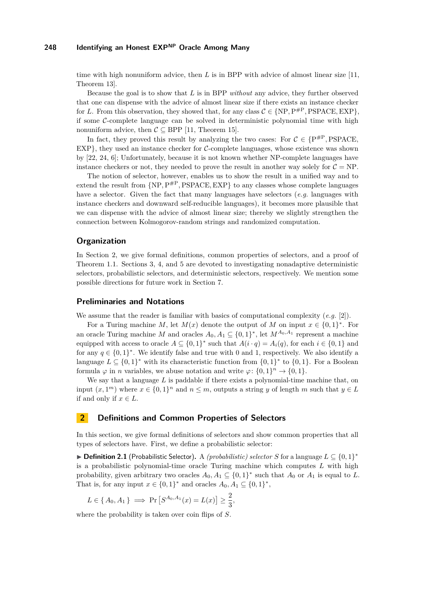time with high nonuniform advice, then *L* is in BPP with advice of almost linear size [\[11,](#page-18-5) Theorem 13].

Because the goal is to show that *L* is in BPP *without* any advice, they further observed that one can dispense with the advice of almost linear size if there exists an instance checker for *L*. From this observation, they showed that, for any class  $C \in \{NP, P^{HP}, PSPACE, EXP\}$ , if some  $C$ -complete language can be solved in deterministic polynomial time with high nonuniform advice, then  $C \subseteq BPP$  [\[11,](#page-18-5) Theorem 15].

In fact, they proved this result by analyzing the two cases: For  $C \in \{P^{\#P}, PSPACE, P^{\#P}\}$  $EXP$ , they used an instance checker for  $C$ -complete languages, whose existence was shown by [\[22,](#page-19-0) [24,](#page-19-1) [6\]](#page-18-1); Unfortunately, because it is not known whether NP-complete languages have instance checkers or not, they needed to prove the result in another way solely for  $C = NP$ .

The notion of selector, however, enables us to show the result in a unified way and to extend the result from  ${NP, P^{#P}, PSPACE, EXP}$  to any classes whose complete languages have a selector. Given the fact that many languages have selectors (*e.g.* languages with instance checkers and downward self-reducible languages), it becomes more plausible that we can dispense with the advice of almost linear size; thereby we slightly strengthen the connection between Kolmogorov-random strings and randomized computation.

### **Organization**

In Section [2,](#page-4-0) we give formal definitions, common properties of selectors, and a proof of Theorem [1.1.](#page-1-0) Sections [3,](#page-8-0) [4,](#page-9-0) and [5](#page-15-0) are devoted to investigating nonadaptive deterministic selectors, probabilistic selectors, and deterministic selectors, respectively. We mention some possible directions for future work in Section [7.](#page-17-1)

### **Preliminaries and Notations**

We assume that the reader is familiar with basics of computational complexity (*e.g.* [\[2\]](#page-18-12)).

For a Turing machine *M*, let  $M(x)$  denote the output of *M* on input  $x \in \{0,1\}^*$ . For an oracle Turing machine *M* and oracles  $A_0, A_1 \subseteq \{0,1\}^*$ , let  $M^{A_0, A_1}$  represent a machine equipped with access to oracle  $A \subseteq \{0,1\}^*$  such that  $A(i \cdot q) = A_i(q)$ , for each  $i \in \{0,1\}$  and for any  $q \in \{0,1\}^*$ . We identify false and true with 0 and 1, respectively. We also identify a language  $L \subseteq \{0,1\}^*$  with its characteristic function from  $\{0,1\}^*$  to  $\{0,1\}$ . For a Boolean formula  $\varphi$  in *n* variables, we abuse notation and write  $\varphi$ :  $\{0,1\}^n \to \{0,1\}$ .

We say that a language *L* is paddable if there exists a polynomial-time machine that, on input  $(x, 1<sup>m</sup>)$  where  $x \in \{0, 1\}^n$  and  $n \leq m$ , outputs a string *y* of length *m* such that  $y \in L$ if and only if  $x \in L$ .

# <span id="page-4-0"></span>**2 Definitions and Common Properties of Selectors**

In this section, we give formal definitions of selectors and show common properties that all types of selectors have. First, we define a probabilistic selector:

<span id="page-4-1"></span>▶ **Definition 2.1** (Probabilistic Selector). A *(probabilistic) selector S* for a language  $L \subseteq \{0,1\}^*$ is a probabilistic polynomial-time oracle Turing machine which computes *L* with high probability, given arbitrary two oracles  $A_0, A_1 \subseteq \{0,1\}^*$  such that  $A_0$  or  $A_1$  is equal to *L*. That is, for any input  $x \in \{0,1\}^*$  and oracles  $A_0, A_1 \subseteq \{0,1\}^*$ ,

$$
L \in \{A_0, A_1\} \implies \Pr[S^{A_0, A_1}(x) = L(x)] \ge \frac{2}{3},
$$

where the probability is taken over coin flips of *S*.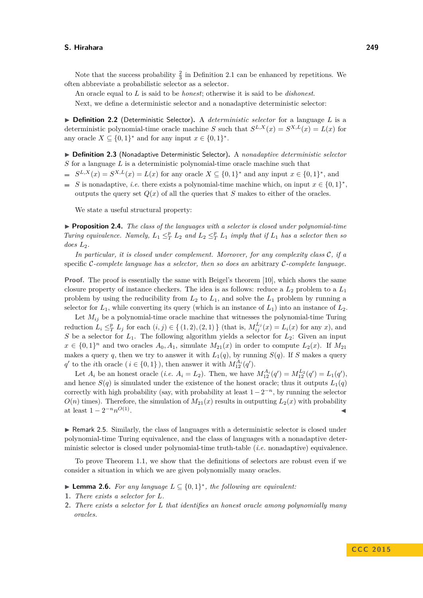Note that the success probability  $\frac{2}{3}$  in Definition [2.1](#page-4-1) can be enhanced by repetitions. We often abbreviate a probabilistic selector as a selector.

An oracle equal to *L* is said to be *honest*; otherwise it is said to be *dishonest*.

Next, we define a deterministic selector and a nonadaptive deterministic selector:

▶ **Definition 2.2** (Deterministic Selector). A *deterministic selector* for a language *L* is a deterministic polynomial-time oracle machine *S* such that  $S^{L,X}(x) = S^{X,L}(x) = L(x)$  for any oracle  $X \subseteq \{0,1\}^*$  and for any input  $x \in \{0,1\}^*$ .

I **Definition 2.3** (Nonadaptive Deterministic Selector)**.** A *nonadaptive deterministic selector S* for a language *L* is a deterministic polynomial-time oracle machine such that

- $S^{L,X}(x) = S^{X,L}(x) = L(x)$  for any oracle  $X \subseteq \{0,1\}^*$  and any input  $x \in \{0,1\}^*$ , and
- *S* is nonadaptive, *i.e.* there exists a polynomial-time machine which, on input  $x \in \{0,1\}^*$ , outputs the query set  $Q(x)$  of all the queries that *S* makes to either of the oracles.

We state a useful structural property:

<span id="page-5-1"></span>▶ **Proposition 2.4.** *The class of the languages with a selector is closed under polynomial-time Turing equivalence. Namely,*  $L_1 \leq^p_T L_2$  *and*  $L_2 \leq^p_T L_1$  *imply that if*  $L_1$  *has a selector then so does L*2*.*

*In particular, it is closed under complement. Moreover, for any complexity class* C*, if a* specific C*-complete language has a selector, then so does an* arbitrary C*-complete language.*

**Proof.** The proof is essentially the same with Beigel's theorem [\[10\]](#page-18-0), which shows the same closure property of instance checkers. The idea is as follows: reduce a *L*<sup>2</sup> problem to a *L*<sup>1</sup> problem by using the reducibility from  $L_2$  to  $L_1$ , and solve the  $L_1$  problem by running a selector for  $L_1$ , while converting its query (which is an instance of  $L_1$ ) into an instance of  $L_2$ .

Let  $M_{ij}$  be a polynomial-time oracle machine that witnesses the polynomial-time Turing reduction  $L_i \leq_T^p L_j$  for each  $(i, j) \in \{(1, 2), (2, 1)\}\$  (that is,  $M_{ij}^{L_j}(x) = L_i(x)$  for any x), and *S* be a selector for *L*1. The following algorithm yields a selector for *L*2: Given an input  $x \in \{0,1\}^n$  and two oracles  $A_0, A_1$ , simulate  $M_{21}(x)$  in order to compute  $L_2(x)$ . If  $M_{21}$ makes a query *q*, then we try to answer it with  $L_1(q)$ , by running  $S(q)$ . If *S* makes a query *q*<sup>*t*</sup> to the *i*th oracle (*i*  $\in$  {0, 1} ), then answer it with  $M_{12}^{A_i}(q')$ .

Let  $A_i$  be an honest oracle (*i.e.*  $A_i = L_2$ ). Then, we have  $M_{12}^{A_i}(q') = M_{12}^{L_2}(q') = L_1(q')$ , and hence  $S(q)$  is simulated under the existence of the honest oracle; thus it outputs  $L_1(q)$ correctly with high probability (say, with probability at least  $1-2^{-n}$ , by running the selector  $O(n)$  times). Therefore, the simulation of  $M_{21}(x)$  results in outputting  $L_2(x)$  with probability at least  $1 - 2^{-n} n^{O(1)}$ . January 1980, and the contract of the contract of the contract of the contract of

<span id="page-5-2"></span>► Remark 2.5. Similarly, the class of languages with a deterministic selector is closed under polynomial-time Turing equivalence, and the class of languages with a nonadaptive deterministic selector is closed under polynomial-time truth-table (*i.e.* nonadaptive) equivalence.

To prove Theorem [1.1,](#page-1-0) we show that the definitions of selectors are robust even if we consider a situation in which we are given polynomially many oracles.

- <span id="page-5-0"></span>▶ **Lemma 2.6.** *For any language*  $L \subseteq \{0,1\}^*$ , *the following are equivalent:*
- **1.** *There exists a selector for L.*
- **2.** *There exists a selector for L that identifies an honest oracle among polynomially many oracles.*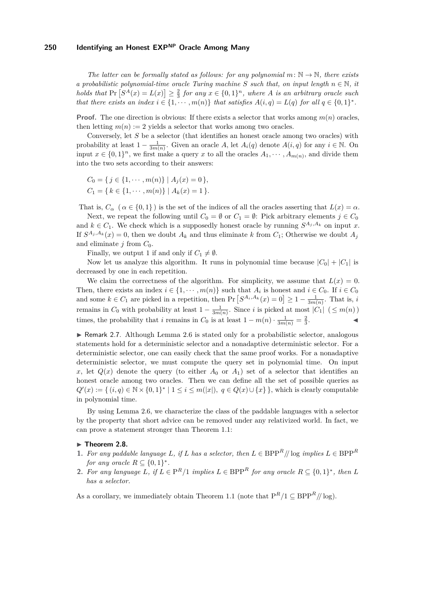*The latter can be formally stated as follows: for any polynomial*  $m: \mathbb{N} \to \mathbb{N}$ , there exists *a probabilistic polynomial-time oracle Turing machine S such that, on input length*  $n \in \mathbb{N}$ , *it holds that*  $Pr\left[S^A(x) = L(x)\right] \ge \frac{2}{3}$  *for any*  $x \in \{0,1\}^n$ *, where A is an arbitrary oracle such that there exists an index*  $i \in \{1, \dots, m(n)\}$  *that satisfies*  $A(i, q) = L(q)$  *for all*  $q \in \{0, 1\}^*$ *.* 

**Proof.** The one direction is obvious: If there exists a selector that works among  $m(n)$  oracles, then letting  $m(n) := 2$  yields a selector that works among two oracles.

Conversely, let *S* be a selector (that identifies an honest oracle among two oracles) with probability at least  $1 - \frac{1}{3m(n)}$ . Given an oracle *A*, let  $A_i(q)$  denote  $A(i, q)$  for any  $i \in \mathbb{N}$ . On input  $x \in \{0,1\}^n$ , we first make a query x to all the oracles  $A_1, \dots, A_{m(n)}$ , and divide them into the two sets according to their answers:

$$
C_0 = \{ j \in \{1, \cdots, m(n)\} \mid A_j(x) = 0 \},
$$
  
\n
$$
C_1 = \{ k \in \{1, \cdots, m(n)\} \mid A_k(x) = 1 \}.
$$

That is,  $C_{\alpha}$  ( $\alpha \in \{0,1\}$ ) is the set of the indices of all the oracles asserting that  $L(x) = \alpha$ .

Next, we repeat the following until  $C_0 = \emptyset$  or  $C_1 = \emptyset$ : Pick arbitrary elements  $j \in C_0$ and  $k \in C_1$ . We check which is a supposedly honest oracle by running  $S^{A_j, A_k}$  on input *x*. If  $S^{A_j, A_k}(x) = 0$ , then we doubt  $A_k$  and thus eliminate k from  $C_1$ ; Otherwise we doubt  $A_j$ and eliminate  $j$  from  $C_0$ .

Finally, we output 1 if and only if  $C_1 \neq \emptyset$ .

Now let us analyze this algorithm. It runs in polynomial time because  $|C_0| + |C_1|$  is decreased by one in each repetition.

We claim the correctness of the algorithm. For simplicity, we assume that  $L(x) = 0$ . Then, there exists an index  $i \in \{1, \dots, m(n)\}$  such that  $A_i$  is honest and  $i \in C_0$ . If  $i \in C_0$ and some  $k \in C_1$  are picked in a repetition, then  $Pr[S^{A_i, A_k}(x) = 0] \ge 1 - \frac{1}{3m(n)}$ . That is, *i* remains in  $C_0$  with probability at least  $1 - \frac{1}{3m(n)}$ . Since *i* is picked at most  $|C_1|$  ( $\leq m(n)$ ) times, the probability that *i* remains in  $C_0$  is at least  $1 - m(n) \cdot \frac{1}{3m(n)} = \frac{2}{3}$  $\mathcal{L}$  and  $\mathcal{L}$ 

 $\triangleright$  Remark 2.7. Although Lemma [2.6](#page-5-0) is stated only for a probabilistic selector, analogous statements hold for a deterministic selector and a nonadaptive deterministic selector. For a deterministic selector, one can easily check that the same proof works. For a nonadaptive deterministic selector, we must compute the query set in polynomial time. On input *x*, let  $Q(x)$  denote the query (to either  $A_0$  or  $A_1$ ) set of a selector that identifies an honest oracle among two oracles. Then we can define all the set of possible queries as  $Q'(x) := \{ (i, q) \in \mathbb{N} \times \{0, 1\}^* \mid 1 \leq i \leq m(|x|), q \in Q(x) \cup \{x\} \},\$  which is clearly computable in polynomial time.

By using Lemma [2.6,](#page-5-0) we characterize the class of the paddable languages with a selector by the property that short advice can be removed under any relativized world. In fact, we can prove a statement stronger than Theorem [1.1:](#page-1-0)

#### <span id="page-6-2"></span>▶ Theorem 2.8.

- <span id="page-6-0"></span>**1.** For any paddable language  $L$ , if  $L$  has a selector, then  $L \in \text{BPP}^R$  // log *implies*  $L \in \text{BPP}^R$ *for any oracle*  $R \subseteq \{0,1\}^*$ .
- <span id="page-6-1"></span>**2.** For any language L, if  $L \in \mathbb{P}^R/1$  implies  $L \in \mathbb{BPP}^R$  for any oracle  $R \subseteq \{0,1\}^*$ , then L *has a selector.*

As a corollary, we immediately obtain Theorem [1.1](#page-1-0) (note that  $P^R/1 \subseteq BPP^R/\!/\log$ ).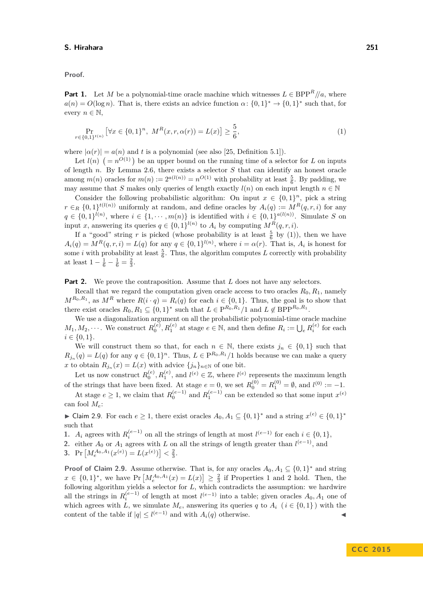**Proof.**

**Part [1.](#page-6-0)** Let *M* be a polynomial-time oracle machine which witnesses  $L \in BPP^R/\!/a$ , where  $a(n) = O(\log n)$ . That is, there exists an advice function  $\alpha: \{0,1\}^* \to \{0,1\}^*$  such that, for every  $n \in \mathbb{N}$ ,

<span id="page-7-0"></span>
$$
\Pr_{r \in \{0,1\}^{t(n)}} \left[ \forall x \in \{0,1\}^n, \ M^R(x,r,\alpha(r)) = L(x) \right] \ge \frac{5}{6},\tag{1}
$$

where  $|a(r)| = a(n)$  and *t* is a polynomial (see also [\[25,](#page-19-3) Definition 5.1]).

Let  $l(n)$   $(= n^{O(1)})$  be an upper bound on the running time of a selector for *L* on inputs of length *n*. By Lemma [2.6,](#page-5-0) there exists a selector *S* that can identify an honest oracle among  $m(n)$  oracles for  $m(n) := 2^{a(l(n))} = n^{O(1)}$  with probability at least  $\frac{5}{6}$ . By padding, we may assume that *S* makes only queries of length exactly  $l(n)$  on each input length  $n \in \mathbb{N}$ 

Consider the following probabilistic algorithm: On input  $x \in \{0,1\}^n$ , pick a string  $r \in R$  {0, 1}<sup>*t*(*l*(*n*)) uniformly at random, and define oracles by  $A_i(q) := M^R(q, r, i)$  for any</sup>  $q \in \{0,1\}^{l(n)}$ , where  $i \in \{1,\dots,m(n)\}$  is identified with  $i \in \{0,1\}^{a(l(n))}$ . Simulate *S* on input *x*, answering its queries  $q \in \{0,1\}^{l(n)}$  to  $A_i$  by computing  $M^R(q,r,i)$ .

If a "good" string r is picked (whose probability is at least  $\frac{5}{6}$  by [\(1\)](#page-7-0)), then we have  $A_i(q) = M^R(q, r, i) = L(q)$  for any  $q \in \{0, 1\}^{l(n)}$ , where  $i = \alpha(r)$ . That is,  $A_i$  is honest for some *i* with probability at least  $\frac{5}{6}$ . Thus, the algorithm computes *L* correctly with probability at least  $1 - \frac{1}{6} - \frac{1}{6} = \frac{2}{3}$ .

**Part [2.](#page-6-1)** We prove the contraposition. Assume that *L* does not have any selectors.

Recall that we regard the computation given oracle access to two oracles  $R_0, R_1$ , namely  $M^{R_0,R_1}$ , as  $M^R$  where  $R(i \cdot q) = R_i(q)$  for each  $i \in \{0,1\}$ . Thus, the goal is to show that there exist oracles  $R_0, R_1 \subseteq \{0, 1\}^*$  such that  $L \in \mathbb{P}^{R_0, R_1} / 1$  and  $L \notin \mathbb{BPP}^{R_0, R_1}$ .

We use a diagonalization argument on all the probabilistic polynomial-time oracle machine  $M_1, M_2, \cdots$ . We construct  $R_0^{(e)}, R_1^{(e)}$  at stage  $e \in \mathbb{N}$ , and then define  $R_i := \bigcup_e R_i^{(e)}$  for each  $i \in \{0, 1\}.$ 

We will construct them so that, for each  $n \in \mathbb{N}$ , there exists  $j_n \in \{0,1\}$  such that  $R_{j_n}(q) = L(q)$  for any  $q \in \{0,1\}^n$ . Thus,  $L \in \mathbb{P}^{R_0, R_1}/1$  holds because we can make a query *x* to obtain  $R_{j_n}(x) = L(x)$  with advice  $\{j_n\}_{n \in \mathbb{N}}$  of one bit.

Let us now construct  $R_0^{(e)}$ ,  $R_1^{(e)}$ , and  $l^{(e)} \in \mathbb{Z}$ , where  $l^{(e)}$  represents the maximum length of the strings that have been fixed. At stage  $e = 0$ , we set  $R_0^{(0)} = R_1^{(0)} = \emptyset$ , and  $l^{(0)} := -1$ .

At stage  $e \geq 1$ , we claim that  $R_0^{(e-1)}$  and  $R_1^{(e-1)}$  can be extended so that some input  $x^{(e)}$ can fool *Me*:

<span id="page-7-1"></span>► Claim 2.9. For each  $e \geq 1$ , there exist oracles  $A_0, A_1 \subseteq \{0,1\}^*$  and a string  $x^{(e)} \in \{0,1\}^*$ such that

<span id="page-7-2"></span>**1.** *A*<sub>*i*</sub> agrees with  $R_i^{(e-1)}$  on all the strings of length at most  $l^{(e-1)}$  for each  $i \in \{0,1\}$ ,

<span id="page-7-3"></span>2. either  $A_0$  or  $A_1$  agrees with  $L$  on all the strings of length greater than  $l^{(e-1)}$ , and

<span id="page-7-4"></span>**3.** Pr  $[M_e^{A_0, A_1}(x^{(e)}) = L(x^{(e)}) \leq \frac{2}{3}$ .

**Proof of Claim [2.9.](#page-7-1)** Assume otherwise. That is, for any oracles  $A_0, A_1 \subseteq \{0,1\}^*$  and string  $x \in \{0,1\}^*$ , we have Pr  $\left[M_e^{A_0,A_1}(x) = L(x)\right] \geq \frac{2}{3}$  if Properties [1](#page-7-2) and [2](#page-7-3) hold. Then, the following algorithm yields a selector for *L*, which contradicts the assumption: we hardwire all the strings in  $R_i^{(e-1)}$  of length at most  $l^{(e-1)}$  into a table; given oracles  $A_0, A_1$  one of which agrees with *L*, we simulate  $M_e$ , answering its queries *q* to  $A_i$  ( $i \in \{0,1\}$ ) with the content of the table if  $|q| \leq l^{(e-1)}$  and with  $A_i(q)$  otherwise.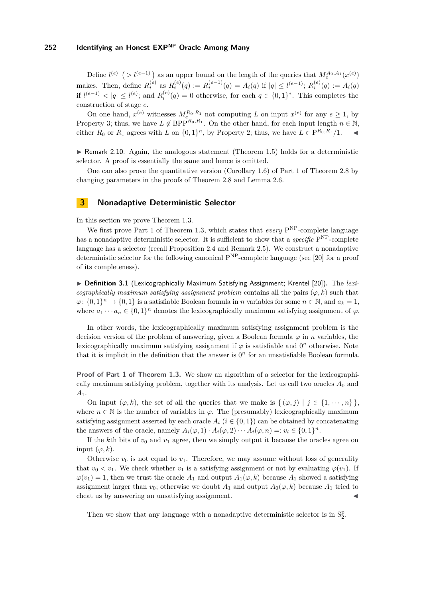Define  $l^{(e)}$  (>  $l^{(e-1)}$ ) as an upper bound on the length of the queries that  $M_e^{A_0,A_1}(x^{(e)})$ makes. Then, define  $R_i^{(e)}$  as  $R_i^{(e)}(q) := R_i^{(e-1)}(q) = A_i(q)$  if  $|q| \leq l^{(e-1)}$ ;  $R_i^{(e)}(q) := A_i(q)$ if  $l^{(e-1)}$  < |q| ≤  $l^{(e)}$ ; and  $R_i^{(e)}(q) = 0$  otherwise, for each  $q \in \{0,1\}^*$ . This completes the construction of stage *e*.

On one hand,  $x^{(e)}$  witnesses  $M_{e_{-}}^{R_0, R_1}$  not computing *L* on input  $x^{(e)}$  for any  $e \geq 1$ , by Property [3;](#page-7-4) thus, we have  $L \notin BPP^{R_0,R_1}$ . On the other hand, for each input length  $n \in \mathbb{N}$ , either  $R_0$  or  $R_1$  agrees with  $L$  on  $\{0,1\}^n$ , by Property [2;](#page-7-3) thus, we have  $L \in \mathbb{P}^{R_0, R_1}/1$ .

 $\triangleright$  Remark 2.10. Again, the analogous statement (Theorem [1.5\)](#page-3-1) holds for a deterministic selector. A proof is essentially the same and hence is omitted.

One can also prove the quantitative version (Corollary [1.6\)](#page-3-2) of Part [1](#page-6-0) of Theorem [2.8](#page-6-2) by changing parameters in the proofs of Theorem [2.8](#page-6-2) and Lemma [2.6.](#page-5-0)

# <span id="page-8-0"></span>**3 Nonadaptive Deterministic Selector**

In this section we prove Theorem [1.3.](#page-2-2)

We first prove Part [1](#page-2-3) of Theorem [1.3,](#page-2-2) which states that *every* P<sup>NP</sup>-complete language has a nonadaptive deterministic selector. It is sufficient to show that a *specific*  $P^{NP}$ -complete language has a selector (recall Proposition [2.4](#page-5-1) and Remark [2.5\)](#page-5-2). We construct a nonadaptive deterministic selector for the following canonical  $P^{NP}$ -complete language (see [\[20\]](#page-19-7) for a proof of its completeness).

▶ Definition 3.1 (Lexicographically Maximum Satisfying Assignment; Krentel [\[20\]](#page-19-7)). The *lexicographically maximum satisfying assignment problem* contains all the pairs ( $\varphi, k$ ) such that  $\varphi: \{0,1\}^n \to \{0,1\}$  is a satisfiable Boolean formula in *n* variables for some  $n \in \mathbb{N}$ , and  $a_k = 1$ , where  $a_1 \cdots a_n \in \{0,1\}^n$  denotes the lexicographically maximum satisfying assignment of  $\varphi$ .

In other words, the lexicographically maximum satisfying assignment problem is the decision version of the problem of answering, given a Boolean formula  $\varphi$  in *n* variables, the lexicographically maximum satisfying assignment if  $\varphi$  is satisfiable and  $0<sup>n</sup>$  otherwise. Note that it is implicit in the definition that the answer is  $0<sup>n</sup>$  for an unsatisfiable Boolean formula.

**Proof of Part [1](#page-2-3) of Theorem [1.3.](#page-2-2)** We show an algorithm of a selector for the lexicographically maximum satisfying problem, together with its analysis. Let us call two oracles  $A_0$  and *A*1.

On input  $(\varphi, k)$ , the set of all the queries that we make is  $\{(\varphi, j) | j \in \{1, \dots, n\}\}\$ , where  $n \in \mathbb{N}$  is the number of variables in  $\varphi$ . The (presumably) lexicographically maximum satisfying assignment asserted by each oracle  $A_i$  ( $i \in \{0,1\}$ ) can be obtained by concatenating the answers of the oracle, namely  $A_i(\varphi, 1) \cdot A_i(\varphi, 2) \cdots A_i(\varphi, n) =: v_i \in \{0, 1\}^n$ .

If the  $k$ <sup>th</sup> bits of  $v_0$  and  $v_1$  agree, then we simply output it because the oracles agree on input  $(\varphi, k)$ .

Otherwise  $v_0$  is not equal to  $v_1$ . Therefore, we may assume without loss of generality that  $v_0 < v_1$ . We check whether  $v_1$  is a satisfying assignment or not by evaluating  $\varphi(v_1)$ . If  $\varphi(v_1) = 1$ , then we trust the oracle  $A_1$  and output  $A_1(\varphi, k)$  because  $A_1$  showed a satisfying assignment larger than  $v_0$ ; otherwise we doubt  $A_1$  and output  $A_0(\varphi, k)$  because  $A_1$  tried to cheat us by answering an unsatisfying assignment.

Then we show that any language with a nonadaptive deterministic selector is in  $S_2^p$ .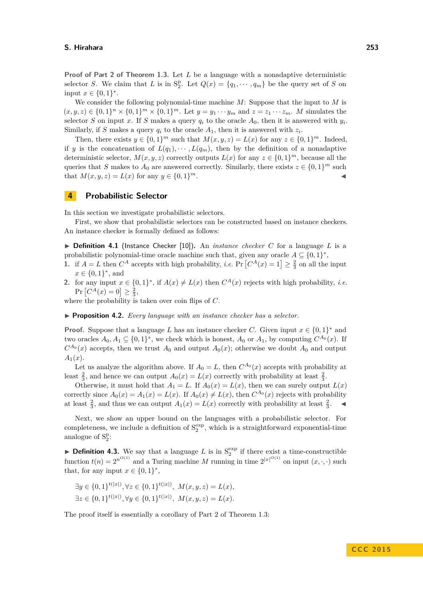**Proof of Part [2](#page-2-4) of Theorem [1.3.](#page-2-2)** Let *L* be a language with a nonadaptive deterministic selector *S*. We claim that *L* is in  $S_2^p$ . Let  $Q(x) = \{q_1, \dots, q_m\}$  be the query set of *S* on input  $x \in \{0, 1\}^*$ .

We consider the following polynomial-time machine *M*: Suppose that the input to *M* is  $(x, y, z) \in \{0, 1\}^n \times \{0, 1\}^m \times \{0, 1\}^m$ . Let  $y = y_1 \cdots y_m$  and  $z = z_1 \cdots z_m$ . *M* simulates the selector *S* on input *x*. If *S* makes a query  $q_i$  to the oracle  $A_0$ , then it is answered with  $y_i$ . Similarly, if *S* makes a query  $q_i$  to the oracle  $A_1$ , then it is answered with  $z_i$ .

Then, there exists  $y \in \{0,1\}^m$  such that  $M(x, y, z) = L(x)$  for any  $z \in \{0,1\}^m$ . Indeed, if *y* is the concatenation of  $L(q_1), \cdots, L(q_m)$ , then by the definition of a nonadaptive deterministic selector,  $M(x, y, z)$  correctly outputs  $L(x)$  for any  $z \in \{0, 1\}^m$ , because all the queries that *S* makes to  $A_0$  are answered correctly. Similarly, there exists  $z \in \{0,1\}^m$  such that  $M(x, y, z) = L(x)$  for any  $y \in \{0, 1\}^m$ .  $m$ .

### <span id="page-9-0"></span>**4 Probabilistic Selector**

In this section we investigate probabilistic selectors.

First, we show that probabilistic selectors can be constructed based on instance checkers. An instance checker is formally defined as follows:

 $\triangleright$  **Definition 4.1** (Instance Checker [\[10\]](#page-18-0)). An *instance checker C* for a language *L* is a probabilistic polynomial-time oracle machine such that, given any oracle  $A \subseteq \{0,1\}^*$ ,

- **1.** if  $A = L$  then  $C^A$  accepts with high probability, *i.e.* Pr  $[C^A(x) = 1] \geq \frac{2}{3}$  on all the input  $x \in \{0, 1\}^*$ , and
- 2. for any input  $x \in \{0,1\}^*$ , if  $A(x) \neq L(x)$  then  $C^A(x)$  rejects with high probability, *i.e.*  $Pr[C^{A}(x) = 0] \ge \frac{2}{3},$

where the probability is taken over coin flips of *C*.

I **Proposition 4.2.** *Every language with an instance checker has a selector.*

**Proof.** Suppose that a language *L* has an instance checker *C*. Given input  $x \in \{0,1\}^*$  and two oracles  $A_0, A_1 \subseteq \{0,1\}^*$ , we check which is honest,  $A_0$  or  $A_1$ , by computing  $C^{A_0}(x)$ . If  $C^{A_0}(x)$  accepts, then we trust  $A_0$  and output  $A_0(x)$ ; otherwise we doubt  $A_0$  and output  $A_1(x)$ .

Let us analyze the algorithm above. If  $A_0 = L$ , then  $C^{A_0}(x)$  accepts with probability at least  $\frac{2}{3}$ , and hence we can output  $A_0(x) = L(x)$  correctly with probability at least  $\frac{2}{3}$ .

Otherwise, it must hold that  $A_1 = L$ . If  $A_0(x) = L(x)$ , then we can surely output  $L(x)$ correctly since  $A_0(x) = A_1(x) = L(x)$ . If  $A_0(x) \neq L(x)$ , then  $C^{A_0}(x)$  rejects with probability at least  $\frac{2}{3}$ , and thus we can output  $A_1(x) = L(x)$  correctly with probability at least  $\frac{2}{3}$  $\blacktriangleleft$ 

Next, we show an upper bound on the languages with a probabilistic selector. For completeness, we include a definition of  $S_2^{\exp}$ , which is a straightforward exponential-time analogue of  $S_2^p$ :

**Definition 4.3.** We say that a language L is in  $S_2^{\text{exp}}$  if there exist a time-constructible function  $t(n) = 2^{n^{O(1)}}$  and a Turing machine *M* running in time  $2^{|x|^{O(1)}}$  on input  $(x, \cdot, \cdot)$  such that, for any input  $x \in \{0, 1\}^*$ ,

$$
\exists y \in \{0, 1\}^{t(|x|)}, \forall z \in \{0, 1\}^{t(|x|)}, \ M(x, y, z) = L(x),
$$
  

$$
\exists z \in \{0, 1\}^{t(|x|)}, \forall y \in \{0, 1\}^{t(|x|)}, \ M(x, y, z) = L(x).
$$

The proof itself is essentially a corollary of Part [2](#page-2-4) of Theorem [1.3:](#page-2-2)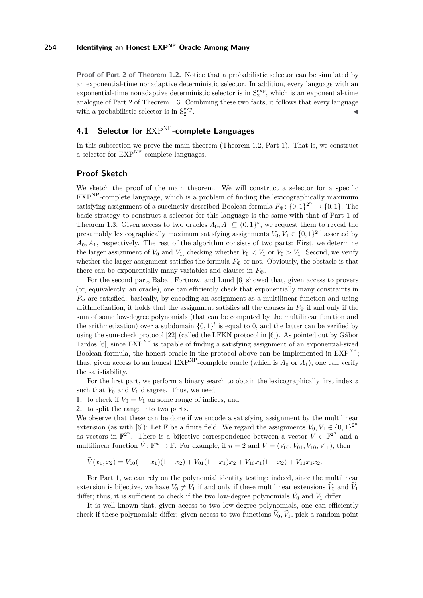**Proof of Part [2](#page-2-5) of Theorem [1.2.](#page-2-0)** Notice that a probabilistic selector can be simulated by an exponential-time nonadaptive deterministic selector. In addition, every language with an exponential-time nonadaptive deterministic selector is in  $S_2^{\text{exp}}$ , which is an exponential-time analogue of Part [2](#page-2-4) of Theorem [1.3.](#page-2-2) Combining these two facts, it follows that every language with a probabilistic selector is in  $\mathcal{S}_2^{\rm exp}$ . John J. M. Maria and J. M. Maria and J. M. Maria and J. M. Maria and J. M. Maria and J. J. Maria and J. M. M

# **4.1 Selector for** EXPNP**-complete Languages**

In this subsection we prove the main theorem (Theorem [1.2,](#page-2-0) Part [1\)](#page-2-1). That is, we construct a selector for  $\mathrm{EXP}^{\mathrm{NP}}$ -complete languages.

# **Proof Sketch**

We sketch the proof of the main theorem. We will construct a selector for a specific  $EXP<sup>NP</sup>$ -complete language, which is a problem of finding the lexicographically maximum satisfying assignment of a succinctly described Boolean formula  $F_{\Phi}$ : {0,1}<sup>2<sup>n</sup></sup>  $\rightarrow$  {0,1}. The basic strategy to construct a selector for this language is the same with that of Part [1](#page-2-3) of Theorem [1.3:](#page-2-2) Given access to two oracles  $A_0, A_1 \subseteq \{0,1\}^*$ , we request them to reveal the presumably lexicographically maximum satisfying assignments  $V_0, V_1 \in \{0, 1\}^{2^n}$  asserted by *A*0*, A*1, respectively. The rest of the algorithm consists of two parts: First, we determine the larger assignment of  $V_0$  and  $V_1$ , checking whether  $V_0 < V_1$  or  $V_0 > V_1$ . Second, we verify whether the larger assignment satisfies the formula  $F_{\Phi}$  or not. Obviously, the obstacle is that there can be exponentially many variables and clauses in  $F_{\Phi}$ .

For the second part, Babai, Fortnow, and Lund [\[6\]](#page-18-1) showed that, given access to provers (or, equivalently, an oracle), one can efficiently check that exponentially many constraints in  $F_{\Phi}$  are satisfied: basically, by encoding an assignment as a multilinear function and using arithmetization, it holds that the assignment satisfies all the clauses in  $F_{\Phi}$  if and only if the sum of some low-degree polynomials (that can be computed by the multilinear function and the arithmetization) over a subdomain  $\{0,1\}^l$  is equal to 0, and the latter can be verified by using the sum-check protocol [\[22\]](#page-19-0) (called the LFKN protocol in [\[6\]](#page-18-1)). As pointed out by Gábor Tardos  $[6]$ , since  $EXP<sup>NP</sup>$  is capable of finding a satisfying assignment of an exponential-sized Boolean formula, the honest oracle in the protocol above can be implemented in  $\text{EXP}^{\text{NP}}$ ; thus, given access to an honest  $EXP<sup>NP</sup>$ -complete oracle (which is  $A_0$  or  $A_1$ ), one can verify the satisfiability.

For the first part, we perform a binary search to obtain the lexicographically first index *z* such that  $V_0$  and  $V_1$  disagree. Thus, we need

- <span id="page-10-0"></span>**1.** to check if  $V_0 = V_1$  on some range of indices, and
- <span id="page-10-1"></span>**2.** to split the range into two parts.

We observe that these can be done if we encode a satisfying assignment by the multilinear extension (as with [\[6\]](#page-18-1)): Let F be a finite field. We regard the assignments  $V_0, V_1 \in \{0, 1\}^{2^n}$ as vectors in  $\mathbb{F}^{2^n}$ . There is a bijective correspondence between a vector  $V \in \mathbb{F}^{2^n}$  and a multilinear function  $\widetilde{V}: \mathbb{F}^n \to \mathbb{F}$ . For example, if  $n = 2$  and  $V = (V_{00}, V_{01}, V_{10}, V_{11})$ , then

$$
V(x_1, x_2) = V_{00}(1 - x_1)(1 - x_2) + V_{01}(1 - x_1)x_2 + V_{10}x_1(1 - x_2) + V_{11}x_1x_2.
$$

For Part [1,](#page-10-0) we can rely on the polynomial identity testing: indeed, since the multilinear extension is bijective, we have  $V_0 \neq V_1$  if and only if these multilinear extensions  $\widetilde{V}_0$  and  $\widetilde{V}_1$ differ; thus, it is sufficient to check if the two low-degree polynomials  $V_0$  and  $V_1$  differ.

It is well known that, given access to two low-degree polynomials, one can efficiently check if these polynomials differ: given access to two functions  $V_0$ ,  $V_1$ , pick a random point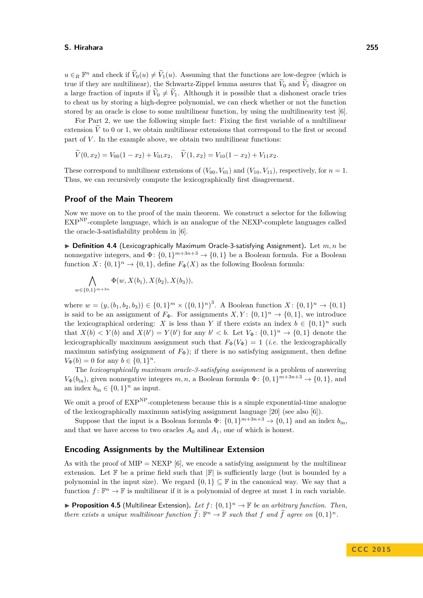$u \in_R \mathbb{F}^n$  and check if  $\widetilde{V}_0(u) \neq \widetilde{V}_1(u)$ . Assuming that the functions are low-degree (which is true if they are multilinear), the Schwartz-Zippel lemma assures that  $V_0$  and  $V_1$  disagree on a large fraction of inputs if  $V_0 \neq V_1$ . Although it is possible that a dishonest oracle tries to cheat us by storing a high-degree polynomial, we can check whether or not the function stored by an oracle is close to some multilinear function, by using the multilinearity test [\[6\]](#page-18-1).

For Part [2,](#page-10-1) we use the following simple fact: Fixing the first variable of a multilinear extension  $\tilde{V}$  to 0 or 1, we obtain multilinear extensions that correspond to the first or second part of  $V$ . In the example above, we obtain two multilinear functions:

$$
\widetilde{V}(0,x_2) = V_{00}(1-x_2) + V_{01}x_2, \quad \widetilde{V}(1,x_2) = V_{10}(1-x_2) + V_{11}x_2.
$$

These correspond to multilinear extensions of  $(V_{00}, V_{01})$  and  $(V_{10}, V_{11})$ , respectively, for  $n = 1$ . Thus, we can recursively compute the lexicographically first disagreement.

### **Proof of the Main Theorem**

Now we move on to the proof of the main theorem. We construct a selector for the following EXPNP-complete language, which is an analogue of the NEXP-complete languages called the oracle-3-satisfiability problem in [\[6\]](#page-18-1).

 $\triangleright$  **Definition 4.4** (Lexicographically Maximum Oracle-3-satisfying Assignment). Let  $m, n$  be nonnegative integers, and  $\Phi$ :  $\{0,1\}^{m+3n+3} \to \{0,1\}$  be a Boolean formula. For a Boolean function  $X: \{0,1\}^n \to \{0,1\}$ , define  $F_{\Phi}(X)$  as the following Boolean formula:

$$
\bigwedge_{w \in \{0,1\}^{m+3n}} \Phi(w, X(b_1), X(b_2), X(b_3)),
$$

where  $w = (y, (b_1, b_2, b_3)) \in \{0, 1\}^m \times (\{0, 1\}^n)^3$ . A Boolean function  $X: \{0, 1\}^n \to \{0, 1\}$ is said to be an assignment of  $F_{\Phi}$ . For assignments  $X, Y: \{0, 1\}^n \to \{0, 1\}$ , we introduce the lexicographical ordering: *X* is less than *Y* if there exists an index  $b \in \{0,1\}^n$  such that  $X(b) < Y(b)$  and  $X(b') = Y(b')$  for any  $b' < b$ . Let  $V_{\Phi} \colon \{0,1\}^n \to \{0,1\}$  denote the lexicographically maximum assignment such that  $F_{\Phi}(V_{\Phi}) = 1$  (*i.e.* the lexicographically maximum satisfying assignment of  $F_{\Phi}$ ); if there is no satisfying assignment, then define  $V_{\Phi}(b) = 0$  for any  $b \in \{0, 1\}^n$ .

The *lexicographically maximum oracle-3-satisfying assignment* is a problem of answering  $V_{\Phi}(b_{\text{in}})$ , given nonnegative integers  $m, n$ , a Boolean formula  $\Phi: \{0, 1\}^{m+3n+3} \to \{0, 1\}$ , and an index  $b_{\text{in}} \in \{0, 1\}^n$  as input.

We omit a proof of  $EXP<sup>NP</sup>$ -completeness because this is a simple exponential-time analogue of the lexicographically maximum satisfying assignment language [\[20\]](#page-19-7) (see also [\[6\]](#page-18-1)).

Suppose that the input is a Boolean formula  $\Phi$ :  $\{0,1\}^{m+3n+3} \to \{0,1\}$  and an index  $b_{\text{in}}$ , and that we have access to two oracles  $A_0$  and  $A_1$ , one of which is honest.

### **Encoding Assignments by the Multilinear Extension**

As with the proof of  $MIP = NEXP$  [\[6\]](#page-18-1), we encode a satisfying assignment by the multilinear extension. Let  $\mathbb F$  be a prime field such that  $\mathbb F$  is sufficiently large (but is bounded by a polynomial in the input size). We regard  $\{0,1\} \subset \mathbb{F}$  in the canonical way. We say that a function  $f: \mathbb{F}^n \to \mathbb{F}$  is multilinear if it is a polynomial of degree at most 1 in each variable.

<span id="page-11-0"></span>**Proposition 4.5** (Multilinear Extension). Let  $f: \{0,1\}^n \to \mathbb{F}$  be an arbitrary function. Then, *there exists a unique multilinear function*  $\tilde{f}: \mathbb{F}^n \to \mathbb{F}$  *such that*  $f$  *and*  $\tilde{f}$  *agree on*  $\{0,1\}^n$ *.*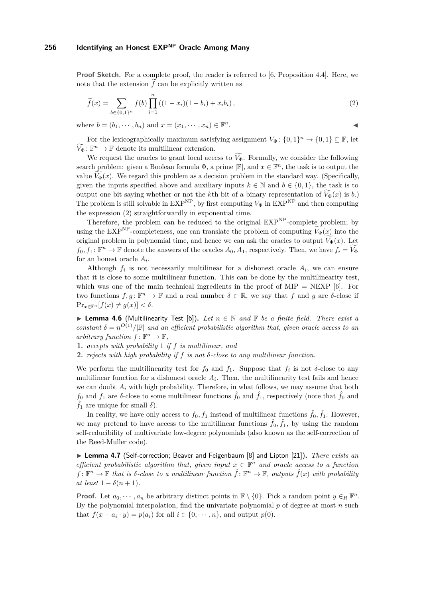**Proof Sketch.** For a complete proof, the reader is referred to [\[6,](#page-18-1) Proposition 4.4]. Here, we note that the extension  $\tilde{f}$  can be explicitly written as

<span id="page-12-0"></span>
$$
\widetilde{f}(x) = \sum_{b \in \{0,1\}^n} f(b) \prod_{i=1}^n ((1 - x_i)(1 - b_i) + x_i b_i), \qquad (2)
$$

where  $b = (b_1, \dots, b_n)$  and  $x = (x_1, \dots, x_n) \in \mathbb{F}^n$ .  $n$ .

For the lexicographically maximum satisfying assignment  $V_{\Phi}$ :  $\{0,1\}^n \to \{0,1\} \subseteq \mathbb{F}$ , let  $\widetilde{V}_{\Phi} : \mathbb{F}^n \to \mathbb{F}$  denote its multilinear extension.

We request the oracles to grant local access to  $V_{\Phi}$ . Formally, we consider the following search problem: given a Boolean formula  $\Phi$ , a prime  $|\mathbb{F}|$ , and  $x \in \mathbb{F}^n$ , the task is to output the value  $V_{\Phi}(x)$ . We regard this problem as a decision problem in the standard way. (Specifically, given the inputs specified above and auxiliary inputs  $k \in \mathbb{N}$  and  $b \in \{0, 1\}$ , the task is to output one bit saying whether or not the *k*th bit of a binary representation of  $V_{\Phi}(x)$  is *b*.) The problem is still solvable in  $EXP<sup>NP</sup>$ , by first computing  $V<sub>Φ</sub>$  in  $EXP<sup>NP</sup>$  and then computing the expression [\(2\)](#page-12-0) straightforwardly in exponential time.

Therefore, the problem can be reduced to the original  $EXP<sup>NP</sup>$ -complete problem; by using the EXP<sup>NP</sup>-completeness, one can translate the problem of computing  $V_{\Phi}(x)$  into the original problem in polynomial time, and hence we can ask the oracles to output  $V_{\Phi}(x)$ . Let  $f_0, f_1: \mathbb{F}^n \to \mathbb{F}$  denote the answers of the oracles  $A_0, A_1$ , respectively. Then, we have  $f_i = \widetilde{V_{\Phi}}$ for an honest oracle *A<sup>i</sup>* .

Although  $f_i$  is not necessarily multilinear for a dishonest oracle  $A_i$ , we can ensure that it is close to some multilinear function. This can be done by the multilinearity test, which was one of the main technical ingredients in the proof of  $MIP = NEXP$  [\[6\]](#page-18-1). For two functions  $f, g: \mathbb{F}^n \to \mathbb{F}$  and a real number  $\delta \in \mathbb{R}$ , we say that *f* and *g* are *δ*-close if  $\Pr_{x \in \mathbb{F}^n} [f(x) \neq g(x)] < \delta.$ 

**► Lemma 4.6** (Multilinearity Test [\[6\]](#page-18-1)). Let  $n \in \mathbb{N}$  and  $\mathbb{F}$  be a finite field. There exist a *constant*  $\delta = n^{O(1)}/|\mathbb{F}|$  *and an efficient probabilistic algorithm that, given oracle access to an arbitrary function*  $f: \mathbb{F}^n \to \mathbb{F}$ ,

**1.** *accepts with probability* 1 *if f is multilinear, and*

**2.** *rejects with high probability if f is not δ-close to any multilinear function.*

We perform the multilinearity test for  $f_0$  and  $f_1$ . Suppose that  $f_i$  is not  $\delta$ -close to any multilinear function for a dishonest oracle  $A_i$ . Then, the multilinearity test fails and hence we can doubt  $A_i$  with high probability. Therefore, in what follows, we may assume that both *f*<sub>0</sub> and *f*<sub>1</sub> are *δ*-close to some multilinear functions  $\hat{f}_0$  and  $\hat{f}_1$ , respectively (note that  $\hat{f}_0$  and  $\hat{f}_1$  are unique for small  $\delta$ ).

In reality, we have only access to  $f_0, f_1$  instead of multilinear functions  $\hat{f}_0, \hat{f}_1$ . However, we may pretend to have access to the multilinear functions  $\hat{f}_0$ ,  $\hat{f}_1$ , by using the random self-reducibility of multivariate low-degree polynomials (also known as the self-correction of the Reed-Muller code).

▶ Lemma 4.7 (Self-correction; Beaver and Feigenbaum [\[8\]](#page-18-6) and Lipton [\[21\]](#page-19-4)). *There exists an efficient probabilistic algorithm that, given input*  $x \in \mathbb{F}^n$  *and oracle access to a function*  $f: \mathbb{F}^n \to \mathbb{F}$  that is  $\delta$ -close to a multilinear function  $\hat{f}: \mathbb{F}^n \to \mathbb{F}$ , outputs  $\hat{f}(x)$  with probability *at least*  $1 - \delta(n+1)$ *.* 

**Proof.** Let  $a_0, \dots, a_n$  be arbitrary distinct points in  $\mathbb{F} \setminus \{0\}$ . Pick a random point  $y \in_R \mathbb{F}^n$ . By the polynomial interpolation, find the univariate polynomial *p* of degree at most *n* such that  $f(x + a_i \cdot y) = p(a_i)$  for all  $i \in \{0, \dots, n\}$ , and output  $p(0)$ .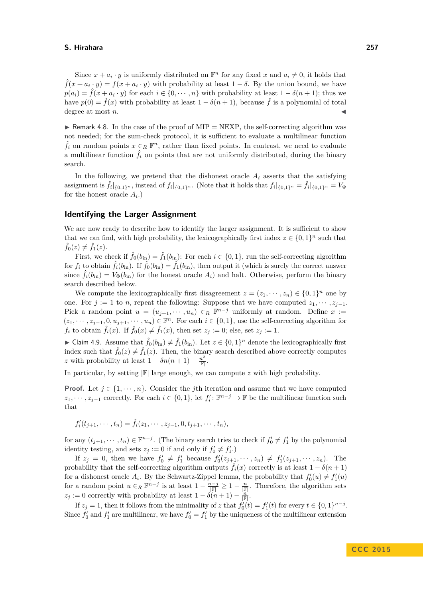Since  $x + a_i \cdot y$  is uniformly distributed on  $\mathbb{F}^n$  for any fixed  $x$  and  $a_i \neq 0$ , it holds that  $\hat{f}(x + a_i \cdot y) = f(x + a_i \cdot y)$  with probability at least  $1 - \delta$ . By the union bound, we have  $p(a_i) = \hat{f}(x + a_i \cdot y)$  for each  $i \in \{0, \dots, n\}$  with probability at least  $1 - \delta(n+1)$ ; thus we have  $p(0) = \hat{f}(x)$  with probability at least  $1 - \delta(n+1)$ , because  $\hat{f}$  is a polynomial of total degree at most *n*.

 $\triangleright$  Remark 4.8. In the case of the proof of MIP = NEXP, the self-correcting algorithm was not needed; for the sum-check protocol, it is sufficient to evaluate a multilinear function  $\hat{f}_i$  on random points  $x \in_R \mathbb{F}^n$ , rather than fixed points. In contrast, we need to evaluate a multilinear function  $\hat{f}_i$  on points that are not uniformly distributed, during the binary search.

In the following, we pretend that the dishonest oracle  $A_i$  asserts that the satisfying assignment is  $\hat{f}_i|_{\{0,1\}^n}$ , instead of  $f_i|_{\{0,1\}^n}$ . (Note that it holds that  $f_i|_{\{0,1\}^n} = \hat{f}_i|_{\{0,1\}^n} = V_{\Phi}$ for the honest oracle  $A_i$ .)

### **Identifying the Larger Assignment**

We are now ready to describe how to identify the larger assignment. It is sufficient to show that we can find, with high probability, the lexicographically first index  $z \in \{0,1\}^n$  such that  $\hat{f}_0(z) \neq \hat{f}_1(z)$ .

First, we check if  $\hat{f}_0(b_{\text{in}}) = \hat{f}_1(b_{\text{in}})$ : For each  $i \in \{0, 1\}$ , run the self-correcting algorithm for  $f_i$  to obtain  $\hat{f}_i(b_{\text{in}})$ . If  $\hat{f}_0(b_{\text{in}}) = \hat{f}_1(b_{\text{in}})$ , then output it (which is surely the correct answer since  $\hat{f}_i(b_{\text{in}}) = V_{\Phi}(b_{\text{in}})$  for the honest oracle  $A_i$ ) and halt. Otherwise, perform the binary search described below.

We compute the lexicographically first disagreement  $z = (z_1, \dots, z_n) \in \{0, 1\}^n$  one by one. For  $j := 1$  to *n*, repeat the following: Suppose that we have computed  $z_1, \dots, z_{j-1}$ . Pick a random point  $u = (u_{j+1}, \dots, u_n) \in_R \mathbb{F}^{n-j}$  uniformly at random. Define  $x :=$  $(z_1, \dots, z_{j-1}, 0, u_{j+1}, \dots, u_n) \in \mathbb{F}^n$ . For each  $i \in \{0, 1\}$ , use the self-correcting algorithm for  $f_i$  to obtain  $\hat{f}_i(x)$ . If  $\hat{f}_0(x) \neq \hat{f}_1(x)$ , then set  $z_i := 0$ ; else, set  $z_i := 1$ .

► Claim 4.9. Assume that  $\hat{f}_0(b_{\text{in}}) \neq \hat{f}_1(b_{\text{in}})$ . Let  $z \in \{0,1\}^n$  denote the lexicographically first index such that  $\hat{f}_0(z) \neq \hat{f}_1(z)$ . Then, the binary search described above correctly computes *z* with probability at least  $1 - \delta n(n+1) - \frac{n^2}{|\mathbb{F}|}.$ 

In particular, by setting  $\mathbb{F}$  arge enough, we can compute *z* with high probability.

**Proof.** Let  $j \in \{1, \dots, n\}$ . Consider the *j*th iteration and assume that we have computed *z*<sub>1</sub>, · · · *, z*<sub>*j*−1</sub> correctly. For each  $i \in \{0, 1\}$ , let  $f_i'$ :  $\mathbb{F}^{n-j} \to \mathbb{F}$  be the multilinear function such that

$$
f'_{i}(t_{j+1},\cdots,t_n)=\hat{f}_{i}(z_1,\cdots,z_{j-1},0,t_{j+1},\cdots,t_n),
$$

for any  $(t_{j+1}, \dots, t_n) \in \mathbb{F}^{n-j}$ . (The binary search tries to check if  $f'_0 \neq f'_1$  by the polynomial identity testing, and sets  $z_j := 0$  if and only if  $f'_0 \neq f'_1$ .

If  $z_j = 0$ , then we have  $f'_0 \neq f'_1$  because  $f'_0(z_{j+1}, \dots, z_n) \neq f'_1(z_{j+1}, \dots, z_n)$ . The probability that the self-correcting algorithm outputs  $f_i(x)$  correctly is at least  $1 - \delta(n + 1)$ for a dishonest oracle  $A_i$ . By the Schwartz-Zippel lemma, the probability that  $f'_0(u) \neq f'_1(u)$ for a random point  $u \in_R \mathbb{F}^{n-j}$  is at least  $1 - \frac{n-j}{|\mathbb{F}|} \geq 1 - \frac{n}{|\mathbb{F}|}$ . Therefore, the algorithm sets  $z_j := 0$  correctly with probability at least  $1 - \delta(n+1) - \frac{n}{|\mathbb{F}|}$ .

If  $z_j = 1$ , then it follows from the minimality of *z* that  $f'_0(t) = f'_1(t)$  for every  $t \in \{0, 1\}^{n-j}$ . Since  $f'_0$  and  $f'_1$  are multilinear, we have  $f'_0 = f'_1$  by the uniqueness of the multilinear extension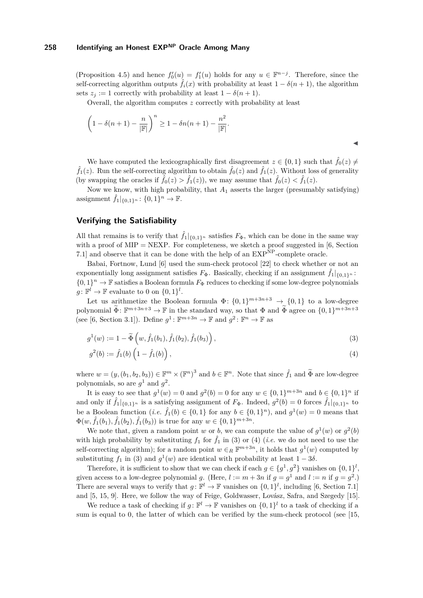(Proposition [4.5\)](#page-11-0) and hence  $f'_{0}(u) = f'_{1}(u)$  holds for any  $u \in \mathbb{F}^{n-j}$ . Therefore, since the self-correcting algorithm outputs  $\hat{f}_i(x)$  with probability at least  $1 - \delta(n+1)$ , the algorithm sets  $z_i := 1$  correctly with probability at least  $1 - \delta(n+1)$ .

Overall, the algorithm computes *z* correctly with probability at least

$$
\left(1 - \delta(n+1) - \frac{n}{|\mathbb{F}|}\right)^n \ge 1 - \delta n(n+1) - \frac{n^2}{|\mathbb{F}|}.
$$

We have computed the lexicographically first disagreement  $z \in \{0,1\}$  such that  $\hat{f}_0(z) \neq$  $\hat{f}_1(z)$ . Run the self-correcting algorithm to obtain  $\hat{f}_0(z)$  and  $\hat{f}_1(z)$ . Without loss of generality (by swapping the oracles if  $\hat{f}_0(z) > \hat{f}_1(z)$ ), we may assume that  $\hat{f}_0(z) < \hat{f}_1(z)$ .

Now we know, with high probability, that *A*<sup>1</sup> asserts the larger (presumably satisfying) assignment  $\hat{f}_1|_{\{0,1\}^n}$ :  $\{0,1\}^n \to \mathbb{F}$ .

# **Verifying the Satisfiability**

All that remains is to verify that  $\hat{f}_1|_{\{0,1\}^n}$  satisfies  $F_{\Phi}$ , which can be done in the same way with a proof of  $MIP = NEXP$ . For completeness, we sketch a proof suggested in [\[6,](#page-18-1) Section 7.1] and observe that it can be done with the help of an  $\mathrm{EXP}^{\mathrm{NP}}$ -complete oracle.

Babai, Fortnow, Lund [\[6\]](#page-18-1) used the sum-check protocol [\[22\]](#page-19-0) to check whether or not an exponentially long assignment satisfies  $F_{\Phi}$ . Basically, checking if an assignment  $\hat{f}_1|_{\{0,1\}^n}$ .  $\{0,1\}^n \to \mathbb{F}$  satisfies a Boolean formula  $F_{\Phi}$  reduces to checking if some low-degree polynomials  $g: \mathbb{F}^l \to \mathbb{F}$  evaluate to 0 on  $\{0,1\}^l$ .

Let us arithmetize the Boolean formula  $\Phi$ :  $\{0,1\}^{m+3n+3} \to \{0,1\}$  to a low-degree polynomial  $\widetilde{\Phi}$ :  $\mathbb{F}^{m+3n+3} \to \mathbb{F}$  in the standard way, so that  $\Phi$  and  $\widetilde{\Phi}$  agree on  $\{0,1\}^{m+3n+3}$ (see [\[6,](#page-18-1) Section 3.1]). Define  $g^1$ :  $\mathbb{F}^{m+3n} \to \mathbb{F}$  and  $g^2$ :  $\mathbb{F}^n \to \mathbb{F}$  as

$$
g^{1}(w) := 1 - \widetilde{\Phi}\left(w, \hat{f}_{1}(b_{1}), \hat{f}_{1}(b_{2}), \hat{f}_{1}(b_{3})\right), \qquad (3)
$$

<span id="page-14-1"></span><span id="page-14-0"></span>
$$
g^{2}(b) := \hat{f}_{1}(b) \left(1 - \hat{f}_{1}(b)\right), \tag{4}
$$

where  $w = (y, (b_1, b_2, b_3)) \in \mathbb{F}^m \times (\mathbb{F}^n)^3$  and  $b \in \mathbb{F}^n$ . Note that since  $\hat{f}_1$  and  $\tilde{\Phi}$  are low-degree polynomials, so are  $g^1$  and  $g^2$ .

It is easy to see that  $g^1(w) = 0$  and  $g^2(b) = 0$  for any  $w \in \{0, 1\}^{m+3n}$  and  $b \in \{0, 1\}^n$  if and only if  $\hat{f}_1|_{\{0,1\}^n}$  is a satisfying assignment of  $F_\Phi$ . Indeed,  $g^2(b) = 0$  forces  $\hat{f}_1|_{\{0,1\}^n}$  to be a Boolean function (*i.e.*  $\hat{f}_1(b) \in \{0, 1\}$  for any  $b \in \{0, 1\}^n$ ), and  $g^1(w) = 0$  means that  $\Phi(w, \hat{f}_1(b_1), \hat{f}_1(b_2), \hat{f}_1(b_3))$  is true for any  $w \in \{0, 1\}^{m+3n}$ .

We note that, given a random point *w* or *b*, we can compute the value of  $g^1(w)$  or  $g^2(b)$ with high probability by substituting  $f_1$  for  $\hat{f}_1$  in [\(3\)](#page-14-0) or [\(4\)](#page-14-1) (*i.e.* we do not need to use the self-correcting algorithm); for a random point  $w \in R \mathbb{F}^{m+3n}$ , it holds that  $g^1(w)$  computed by substituting  $f_1$  in [\(3\)](#page-14-0) and  $g^1(w)$  are identical with probability at least  $1 - 3\delta$ .

Therefore, it is sufficient to show that we can check if each  $g \in \{g^1, g^2\}$  vanishes on  $\{0, 1\}^l$ , given access to a low-degree polynomial *g*. (Here,  $l := m + 3n$  if  $g = g<sup>1</sup>$  and  $l := n$  if  $g = g<sup>2</sup>$ .) There are several ways to verify that  $g: \mathbb{F}^l \to \mathbb{F}$  vanishes on  $\{0,1\}^l$ , including [\[6,](#page-18-1) Section 7.1] and [\[5,](#page-18-13) [15,](#page-18-14) [9\]](#page-18-15). Here, we follow the way of Feige, Goldwasser, Lovász, Safra, and Szegedy [\[15\]](#page-18-14).

We reduce a task of checking if  $g: \mathbb{F}^l \to \mathbb{F}$  vanishes on  $\{0,1\}^l$  to a task of checking if a sum is equal to 0, the latter of which can be verified by the sum-check protocol (see [\[15,](#page-18-14)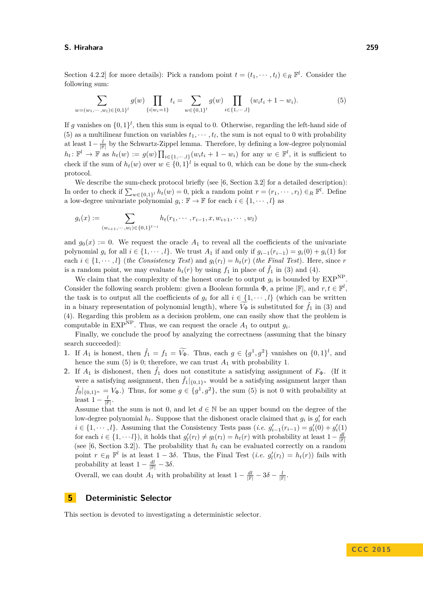Section 4.2.2] for more details): Pick a random point  $t = (t_1, \dots, t_l) \in_R \mathbb{F}^l$ . Consider the following sum:

<span id="page-15-1"></span>
$$
\sum_{w=(w_1,\dots,w_l)\in\{0,1\}^l} g(w) \prod_{\{i|w_i=1\}} t_i = \sum_{w\in\{0,1\}^l} g(w) \prod_{i\in\{1,\dots,l\}} (w_i t_i + 1 - w_i). \tag{5}
$$

If *g* vanishes on  $\{0,1\}^l$ , then this sum is equal to 0. Otherwise, regarding the left-hand side of [\(5\)](#page-15-1) as a multilinear function on variables  $t_1, \dots, t_l$ , the sum is not equal to 0 with probability at least  $1-\frac{l}{\mathbb{F}}$  by the Schwartz-Zippel lemma. Therefore, by defining a low-degree polynomial  $h_t \colon \mathbb{F}^l \to \mathbb{F}$  as  $h_t(w) := g(w) \prod_{i \in \{1, \dots, l\}} (w_i t_i + 1 - w_i)$  for any  $w \in \mathbb{F}^l$ , it is sufficient to check if the sum of  $h_t(w)$  over  $w \in \{0,1\}^l$  is equal to 0, which can be done by the sum-check protocol.

We describe the sum-check protocol briefly (see [\[6,](#page-18-1) Section 3.2] for a detailed description): In order to check if  $\sum_{w \in \{0,1\}^l} h_t(w) = 0$ , pick a random point  $r = (r_1, \dots, r_l) \in_R \mathbb{F}^l$ . Define a low-degree univariate polynomial  $g_i: \mathbb{F} \to \mathbb{F}$  for each  $i \in \{1, \dots, l\}$  as

$$
g_i(x) := \sum_{(w_{i+1},\dots,w_l)\in\{0,1\}^{l-i}} h_t(r_1,\dots,r_{i-1},x,w_{i+1},\dots,w_l)
$$

and  $g_0(x) := 0$ . We request the oracle  $A_1$  to reveal all the coefficients of the univariate polynomial  $g_i$  for all  $i \in \{1, \dots, l\}$ . We trust  $A_1$  if and only if  $g_{i-1}(r_{i-1}) = g_i(0) + g_i(1)$  for each  $i \in \{1, \dots, l\}$  (*the Consistency Test*) and  $g_l(r_l) = h_t(r)$  (*the Final Test*). Here, since *r* is a random point, we may evaluate  $h_t(r)$  by using  $f_1$  in place of  $\hat{f}_1$  in [\(3\)](#page-14-0) and [\(4\)](#page-14-1).

We claim that the complexity of the honest oracle to output  $g_i$  is bounded by  $\text{EXP}^{\text{NP}}$ . Consider the following search problem: given a Boolean formula  $\Phi$ , a prime  $|\mathbb{F}|$ , and  $r, t \in \mathbb{F}^l$ , the task is to output all the coefficients of  $g_i$  for all  $i \in \{1, \dots, l\}$  (which can be written in a binary representation of polynomial length), where  $V_{\Phi}$  is substituted for  $\hat{f}_1$  in [\(3\)](#page-14-0) and [\(4\)](#page-14-1). Regarding this problem as a decision problem, one can easily show that the problem is computable in EXP<sup>NP</sup>. Thus, we can request the oracle  $A_1$  to output  $g_i$ .

Finally, we conclude the proof by analyzing the correctness (assuming that the binary search succeeded):

- **1.** If  $A_1$  is honest, then  $\hat{f}_1 = f_1 = \widetilde{V}_{\Phi}$ . Thus, each  $g \in \{g^1, g^2\}$  vanishes on  $\{0, 1\}^l$ , and hence the sum  $(5)$  is 0; therefore, we can trust  $A_1$  with probability 1.
- **2.** If  $A_1$  is dishonest, then  $\hat{f}_1$  does not constitute a satisfying assignment of  $F_{\Phi}$ . (If it were a satisfying assignment, then  $\hat{f}_1|_{\{0,1\}^n}$  would be a satisfying assignment larger than  $\hat{f}_0|_{\{0,1\}^n} = V_{\Phi}$ .) Thus, for some  $g \in \{g^1, g^2\}$ , the sum [\(5\)](#page-15-1) is not 0 with probability at least  $1 - \frac{l}{\|\mathbb{F}|}$ .

Assume that the sum is not 0, and let  $d \in \mathbb{N}$  be an upper bound on the degree of the low-degree polynomial  $h_t$ . Suppose that the dishonest oracle claimed that  $g_i$  is  $g'_i$  for each  $i \in \{1, \dots, l\}$ . Assuming that the Consistency Tests pass (*i.e.*  $g'_{i-1}(r_{i-1}) = g'_{i}(0) + g'_{i}(1)$ for each  $i \in \{1, \dots, l\}$ , it holds that  $g'_l(r_l) \neq g_l(r_l) = h_t(r)$  with probability at least  $1 - \frac{dl}{\|\mathbf{F}\|}$ (see [\[6,](#page-18-1) Section 3.2]). The probability that  $h_t$  can be evaluated correctly on a random point  $r \in_R \mathbb{F}^l$  is at least  $1 - 3\delta$ . Thus, the Final Test  $(i.e. g'_l(r_l) = h_t(r))$  fails with probability at least  $1 - \frac{dl}{\|\mathbb{F}|} - 3\delta$ .

Overall, we can doubt  $A_1$  with probability at least  $1 - \frac{dl}{\mathbb{F}} - 3\delta - \frac{l}{\mathbb{F}}$ .

# <span id="page-15-0"></span>**5 Deterministic Selector**

This section is devoted to investigating a deterministic selector.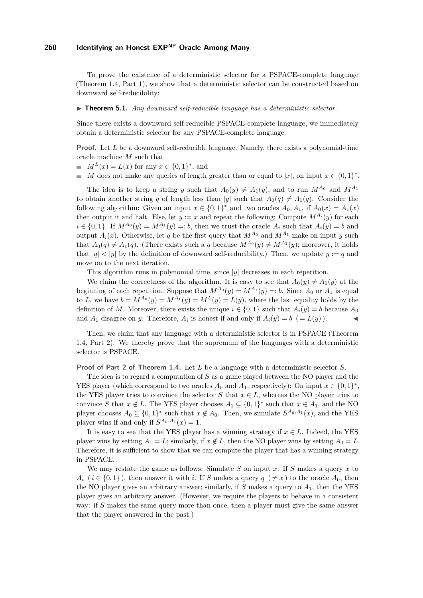To prove the existence of a deterministic selector for a PSPACE-complete language (Theorem [1.4,](#page-3-3) Part [1\)](#page-3-4), we show that a deterministic selector can be constructed based on downward self-reducibility:

#### ▶ **Theorem 5.1.** *Any downward self-reducible language has a deterministic selector.*

Since there exists a downward self-reducible PSPACE-complete language, we immediately obtain a deterministic selector for any PSPACE-complete language.

**Proof.** Let L be a downward self-reducible language. Namely, there exists a polynomial-time oracle machine *M* such that

- $M^{L}(x) = L(x)$  for any  $x \in \{0, 1\}^{*}$ , and
- *M* does not make any queries of length greater than or equal to  $|x|$ , on input  $x \in \{0,1\}^*$ .  $\blacksquare$

The idea is to keep a string *y* such that  $A_0(y) \neq A_1(y)$ , and to run  $M^{A_0}$  and  $M^{A_1}$ to obtain another string *q* of length less than |*y*| such that  $A_0(q) \neq A_1(q)$ . Consider the following algorithm: Given an input  $x \in \{0,1\}^*$  and two oracles  $A_0, A_1$ , if  $A_0(x) = A_1(x)$ then output it and halt. Else, let  $y := x$  and repeat the following: Compute  $M^{A_i}(y)$  for each  $i \in \{0,1\}$ . If  $M^{A_0}(y) = M^{A_1}(y) =: b$ , then we trust the oracle  $A_i$  such that  $A_i(y) = b$  and output  $A_i(x)$ . Otherwise, let *q* be the first query that  $M^{A_0}$  and  $M^{A_1}$  make on input *y* such that  $A_0(q) \neq A_1(q)$ . (There exists such a *q* because  $M^{A_0}(y) \neq M^{A_1}(y)$ ; moreover, it holds that  $|q| < |y|$  by the definition of downward self-reducibility.) Then, we update  $y := q$  and move on to the next iteration.

This algorithm runs in polynomial time, since |*y*| decreases in each repetition.

We claim the correctness of the algorithm. It is easy to see that  $A_0(y) \neq A_1(y)$  at the beginning of each repetition. Suppose that  $M^{A_0}(y) = M^{A_1}(y) =: b$ . Since  $A_0$  or  $A_1$  is equal to *L*, we have  $b = M^{A_0}(y) = M^{A_1}(y) = M^L(y) = L(y)$ , where the last equality holds by the definition of *M*. Moreover, there exists the unique  $i \in \{0,1\}$  such that  $A_i(y) = b$  because  $A_0$ and  $A_1$  disagree on *y*. Therefore,  $A_i$  is honest if and only if  $A_i(y) = b$  (=  $L(y)$ ).

Then, we claim that any language with a deterministic selector is in PSPACE (Theorem [1.4,](#page-3-3) Part [2\)](#page-3-5). We thereby prove that the supremum of the languages with a deterministic selector is PSPACE.

**Proof of Part [2](#page-3-5) of Theorem [1.4.](#page-3-3)** Let *L* be a language with a deterministic selector *S*.

The idea is to regard a computation of *S* as a game played between the NO player and the YES player (which correspond to two oracles  $A_0$  and  $A_1$ , respectively): On input  $x \in \{0,1\}^*$ , the YES player tries to convince the selector *S* that  $x \in L$ , whereas the NO player tries to convince *S* that  $x \notin L$ . The YES player chooses  $A_1 \subseteq \{0,1\}^*$  such that  $x \in A_1$ , and the NO player chooses  $A_0 \subseteq \{0,1\}^*$  such that  $x \notin A_0$ . Then, we simulate  $S^{A_0,A_1}(x)$ , and the YES player wins if and only if  $S^{A_0,A_1}(x) = 1$ .

It is easy to see that the YES player has a winning strategy if  $x \in L$ . Indeed, the YES player wins by setting  $A_1 = L$ ; similarly, if  $x \notin L$ , then the NO player wins by setting  $A_0 = L$ . Therefore, it is sufficient to show that we can compute the player that has a winning strategy in PSPACE.

We may restate the game as follows: Simulate *S* on input *x*. If *S* makes a query *x* to  $A_i$  ( $i \in \{0,1\}$ ), then answer it with *i*. If *S* makes a query  $q \neq x$ ) to the oracle  $A_0$ , then the NO player gives an arbitrary answer; similarly, if  $S$  makes a query to  $A_1$ , then the YES player gives an arbitrary answer. (However, we require the players to behave in a consistent way: if *S* makes the same query more than once, then a player must give the same answer that the player answered in the past.)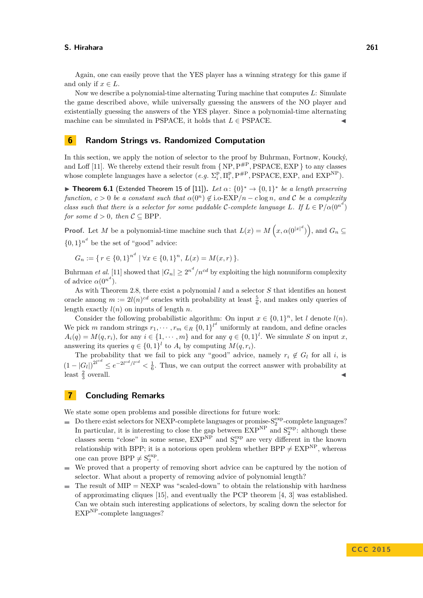Again, one can easily prove that the YES player has a winning strategy for this game if and only if  $x \in L$ .

Now we describe a polynomial-time alternating Turing machine that computes *L*: Simulate the game described above, while universally guessing the answers of the NO player and existentially guessing the answers of the YES player. Since a polynomial-time alternating machine can be simulated in PSPACE, it holds that  $L \in PSPACE$ .

### <span id="page-17-0"></span>**6 Random Strings vs. Randomized Computation**

In this section, we apply the notion of selector to the proof by Buhrman, Fortnow, Koucký, and Loff [\[11\]](#page-18-5). We thereby extend their result from  $\{ NP, P^{\#P}, PSPACE, EXP \}$  to any classes whose complete languages have a selector  $(e.g. \Sigma_i^p, \Pi_i^p, P^{HP}, PSPACE, EXP,$  and  $EXP^{NP}$ .

**► Theorem 6.1** (Extended Theorem 15 of [\[11\]](#page-18-5)). Let  $\alpha$ :  $\{0\}^* \to \{0,1\}^*$  be a length preserving *function,*  $c > 0$  *be a constant such that*  $\alpha(0^n) \notin$  i.o-EXP/n –  $c \log n$ *, and* C *be a complexity class such that there is a selector for some paddable* C-complete language L. If  $L \in P/\alpha(0^{n^d})$ *for some*  $d > 0$ *, then*  $C \subseteq BPP$ *.* 

**Proof.** Let *M* be a polynomial-time machine such that  $L(x) = M\left(x, \alpha(0^{|x|^d})\right)$ , and  $G_n \subseteq$ 

 $\{0,1\}^{n^d}$  be the set of "good" advice:

 $G_n := \{ r \in \{0,1\}^n \mid \forall x \in \{0,1\}^n, L(x) = M(x,r) \}.$ 

Buhrman *et al.* [\[11\]](#page-18-5) showed that  $|G_n| \geq 2^{n^d}/n^{cd}$  by exploiting the high nonuniform complexity of advice  $\alpha(0^{n^d})$ .

As with Theorem [2.8,](#page-6-2) there exist a polynomial *l* and a selector *S* that identifies an honest oracle among  $m := 2l(n)^{cd}$  oracles with probability at least  $\frac{5}{6}$ , and makes only queries of length exactly  $l(n)$  on inputs of length *n*.

Consider the following probabilistic algorithm: On input  $x \in \{0,1\}^n$ , let *l* denote  $l(n)$ . We pick *m* random strings  $r_1, \dots, r_m \in_R \{0,1\}^{l^d}$  uniformly at random, and define oracles  $A_i(q) = M(q, r_i)$ , for any  $i \in \{1, \dots, m\}$  and for any  $q \in \{0, 1\}^l$ . We simulate *S* on input *x*, answering its queries  $q \in \{0,1\}^l$  to  $A_i$  by computing  $M(q, r_i)$ .

The probability that we fail to pick any "good" advice, namely  $r_i \notin G_l$  for all *i*, is  $(1-|G_l|)^{2l^{cd}} \leq e^{-2l^{cd}/l^{cd}} < \frac{1}{6}$ . Thus, we can output the correct answer with probability at  $\frac{2}{3}$  $\blacksquare$  overall.

# <span id="page-17-1"></span>**7 Concluding Remarks**

We state some open problems and possible directions for future work:

- Do there exist selectors for NEXP-complete languages or promise- $S_2^{\exp}$ -complete languages? In particular, it is interesting to close the gap between  $\text{EXP}^{\text{NP}}$  and  $\text{S}_2^{\text{exp}}$ : although these classes seem "close" in some sense,  $EXP<sup>NP</sup>$  and  $S<sub>2</sub><sup>exp</sup>$  are very different in the known relationship with BPP; it is a notorious open problem whether BPP  $\neq$  EXP<sup>NP</sup>, whereas one can prove  $BPP \neq S_2^{\exp}$ .
- We proved that a property of removing short advice can be captured by the notion of  $\sim$ selector. What about a property of removing advice of polynomial length?
- The result of  $MIP = NEXP$  was "scaled-down" to obtain the relationship with hardness  $\sim$ of approximating cliques [\[15\]](#page-18-14), and eventually the PCP theorem [\[4,](#page-18-16) [3\]](#page-18-17) was established. Can we obtain such interesting applications of selectors, by scaling down the selector for  $EXP<sup>NP</sup>$ -complete languages?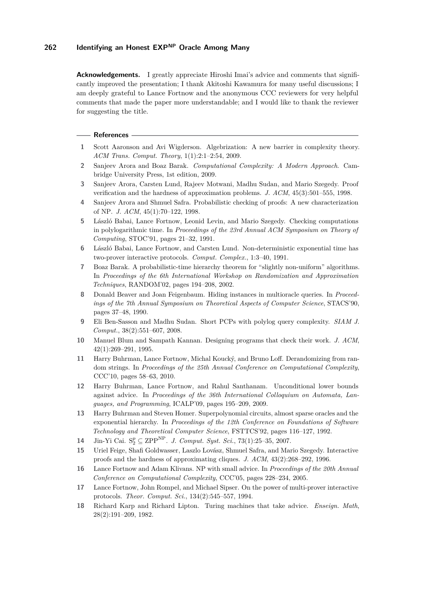**Acknowledgements.** I greatly appreciate Hiroshi Imai's advice and comments that significantly improved the presentation; I thank Akitoshi Kawamura for many useful discussions; I am deeply grateful to Lance Fortnow and the anonymous CCC reviewers for very helpful comments that made the paper more understandable; and I would like to thank the reviewer for suggesting the title.

#### **References**

- <span id="page-18-7"></span>**1** Scott Aaronson and Avi Wigderson. Algebrization: A new barrier in complexity theory. *ACM Trans. Comput. Theory*, 1(1):2:1–2:54, 2009.
- <span id="page-18-12"></span>**2** Sanjeev Arora and Boaz Barak. *Computational Complexity: A Modern Approach*. Cambridge University Press, 1st edition, 2009.
- <span id="page-18-17"></span>**3** Sanjeev Arora, Carsten Lund, Rajeev Motwani, Madhu Sudan, and Mario Szegedy. Proof verification and the hardness of approximation problems. *J. ACM*, 45(3):501–555, 1998.
- <span id="page-18-16"></span>**4** Sanjeev Arora and Shmuel Safra. Probabilistic checking of proofs: A new characterization of NP. *J. ACM*, 45(1):70–122, 1998.
- <span id="page-18-13"></span>**5** László Babai, Lance Fortnow, Leonid Levin, and Mario Szegedy. Checking computations in polylogarithmic time. In *Proceedings of the 23rd Annual ACM Symposium on Theory of Computing*, STOC'91, pages 21–32, 1991.
- <span id="page-18-1"></span>**6** László Babai, Lance Fortnow, and Carsten Lund. Non-deterministic exponential time has two-prover interactive protocols. *Comput. Complex.*, 1:3–40, 1991.
- <span id="page-18-3"></span>**7** Boaz Barak. A probabilistic-time hierarchy theorem for "slightly non-uniform" algorithms. In *Proceedings of the 6th International Workshop on Randomization and Approximation Techniques*, RANDOM'02, pages 194–208, 2002.
- <span id="page-18-6"></span>**8** Donald Beaver and Joan Feigenbaum. Hiding instances in multioracle queries. In *Proceedings of the 7th Annual Symposium on Theoretical Aspects of Computer Science*, STACS'90, pages 37–48, 1990.
- <span id="page-18-15"></span>**9** Eli Ben-Sasson and Madhu Sudan. Short PCPs with polylog query complexity. *SIAM J. Comput.*, 38(2):551–607, 2008.
- <span id="page-18-0"></span>**10** Manuel Blum and Sampath Kannan. Designing programs that check their work. *J. ACM*, 42(1):269–291, 1995.
- <span id="page-18-5"></span>**11** Harry Buhrman, Lance Fortnow, Michal Koucký, and Bruno Loff. Derandomizing from random strings. In *Proceedings of the 25th Annual Conference on Computational Complexity*, CCC'10, pages 58–63, 2010.
- <span id="page-18-4"></span>**12** Harry Buhrman, Lance Fortnow, and Rahul Santhanam. Unconditional lower bounds against advice. In *Proceedings of the 36th International Colloquium on Automata, Languages, and Programming*, ICALP'09, pages 195–209, 2009.
- <span id="page-18-11"></span>**13** Harry Buhrman and Steven Homer. Superpolynomial circuits, almost sparse oracles and the exponential hierarchy. In *Proceedings of the 12th Conference on Foundations of Software Technology and Theoretical Computer Science*, FSTTCS'92, pages 116–127, 1992.
- <span id="page-18-8"></span>**14** Jin-Yi Cai.  $S_2^p \subseteq \text{ZPP}^{\text{NP}}$ . *J. Comput. Syst. Sci.*, 73(1):25–35, 2007.
- <span id="page-18-14"></span>**15** Uriel Feige, Shafi Goldwasser, Laszlo Lovász, Shmuel Safra, and Mario Szegedy. Interactive proofs and the hardness of approximating cliques. *J. ACM*, 43(2):268–292, 1996.
- <span id="page-18-10"></span>**16** Lance Fortnow and Adam Klivans. NP with small advice. In *Proceedings of the 20th Annual Conference on Computational Complexity*, CCC'05, pages 228–234, 2005.
- <span id="page-18-2"></span>**17** Lance Fortnow, John Rompel, and Michael Sipser. On the power of multi-prover interactive protocols. *Theor. Comput. Sci.*, 134(2):545–557, 1994.
- <span id="page-18-9"></span>**18** Richard Karp and Richard Lipton. Turing machines that take advice. *Enseign. Math*, 28(2):191–209, 1982.